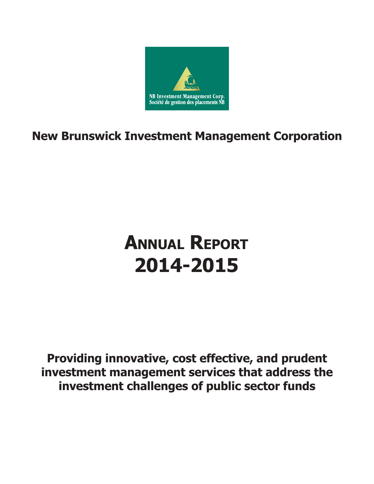

**New Brunswick Investment Management Corporation**

# **ANNUAL REPORT 2014-2015**

**Providing innovative, cost effective, and prudent investment management services that address the investment challenges of public sector funds**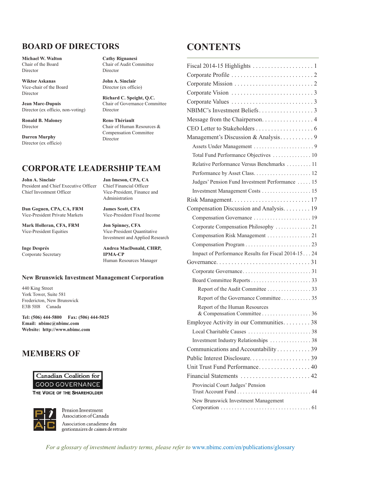## **BOARD OF DIRECTORS**

**Michael W. Walton** Chair of the Board Director

**Wiktor Askanas** Vice-chair of the Board Director

**Jean Marc-Dupuis** Director (ex officio, non-voting)

**Ronald B. Maloney** Director

**Darren Murphy** Director (ex officio) **Cathy Rignanesi**

Chair of Audit Committee Director

**John A. Sinclair** Director (ex officio)

**Richard C. Speight, Q.C.** Chair of Governance Committee Director

**Reno Thériault** Chair of Human Resources & Compensation Committee Director

## **CORPORATE LEADERSHIP TEAM**

**John A. Sinclair Jan Imeson, CPA, CA** President and Chief Executive Officer Chief Financial Officer

**Dan Goguen, CPA, CA, FRM James Scott, CFA** Vice-President Private Markets Vice-President Fixed Income

**Mark Holleran, CFA, FRM Jon Spinney, CFA** Vice-President Equities Vice-President Quantitative

Vice-President, Finance and Administration

Investment and Applied Research

Corporate Secretary **IPMA-CP**

**Inge Després Andrea MacDonald, CHRP,** Human Resources Manager

### **New Brunswick Investment Management Corporation**

440 King Street York Tower, Suite 581 Fredericton, New Brunswick E3B 5H8 Canada

**Tel: (506) 444-5800 Fax: (506) 444-5025 Email: nbimc@nbimc.com Website: http://www.nbimc.com**

## **MEMBERS OF**



THE VOICE OF THE SHAREHOLDER



Pension Investment Association of Canada Association canadienne des gestionnaires de caisses de retraite

## **CONTENTS**

| NBIMC's Investment Beliefs3                        |
|----------------------------------------------------|
| Message from the Chairperson. 4                    |
|                                                    |
|                                                    |
|                                                    |
| Total Fund Performance Objectives  10              |
| Relative Performance Versus Benchmarks  11         |
|                                                    |
| Judges' Pension Fund Investment Performance  15    |
|                                                    |
|                                                    |
| Compensation Discussion and Analysis. 19           |
|                                                    |
| Corporate Compensation Philosophy 21               |
| Compensation Risk Management  21                   |
|                                                    |
| Impact of Performance Results for Fiscal 2014-1524 |
|                                                    |
|                                                    |
|                                                    |
| Report of the Audit Committee 33                   |
| Report of the Governance Committee35               |
| Report of the Human Resources                      |
| & Compensation Committee 36                        |
| Employee Activity in our Communities. 38           |
| Local Charitable Causes 38                         |
| Investment Industry Relationships  38              |
| Communications and Accountability39                |
|                                                    |
| Unit Trust Fund Performance 40                     |
| Financial Statements  42                           |
| Provincial Court Judges' Pension                   |
|                                                    |
| New Brunswick Investment Management                |
|                                                    |

*For a glossary of investment industry terms, please refer to* www.nbimc.com/en/publications/glossary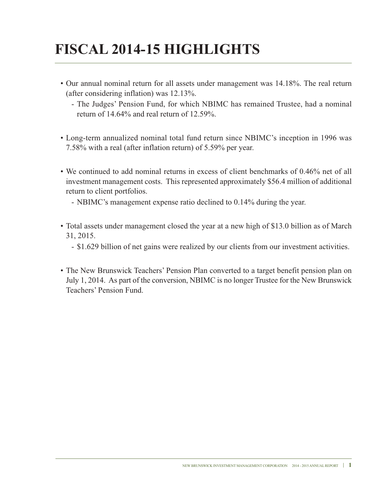# **FISCAL 2014-15 HIGHLIGHTS**

- Our annual nominal return for all assets under management was 14.18%. The real return (after considering inflation) was 12.13%.
	- The Judges' Pension Fund, for which NBIMC has remained Trustee, had a nominal return of 14.64% and real return of 12.59%.
- Long-term annualized nominal total fund return since NBIMC's inception in 1996 was 7.58% with a real (after inflation return) of 5.59% per year.
- We continued to add nominal returns in excess of client benchmarks of 0.46% net of all investment management costs. This represented approximately \$56.4 million of additional return to client portfolios.
	- NBIMC's management expense ratio declined to 0.14% during the year.
- Total assets under management closed the year at a new high of \$13.0 billion as of March 31, 2015.
	- \$1.629 billion of net gains were realized by our clients from our investment activities.
- The New Brunswick Teachers' Pension Plan converted to a target benefit pension plan on July 1, 2014. As part of the conversion, NBIMC is no longer Trustee for the New Brunswick Teachers' Pension Fund.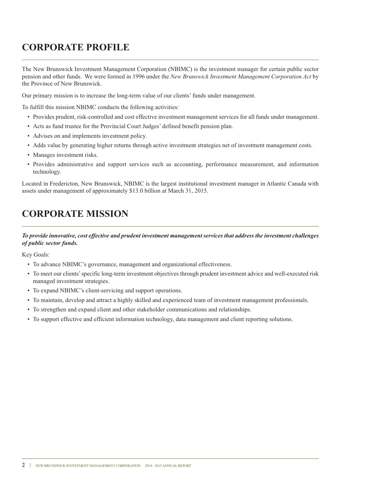## **CORPORATE PROFILE**

The New Brunswick Investment Management Corporation (NBIMC) is the investment manager for certain public sector pension and other funds. We were formed in 1996 under the *New Brunswick Investment Management Corporation Act* by the Province of New Brunswick.

Our primary mission is to increase the long-term value of our clients' funds under management.

To fulfill this mission NBIMC conducts the following activities:

- Provides prudent, risk-controlled and cost effective investment management services for all funds under management.
- Acts as fund trustee for the Provincial Court Judges' defined benefit pension plan.
- Advises on and implements investment policy.
- Adds value by generating higher returns through active investment strategies net of investment management costs.
- Manages investment risks.
- Provides administrative and support services such as accounting, performance measurement, and information technology.

Located in Fredericton, New Brunswick, NBIMC is the largest institutional investment manager in Atlantic Canada with assets under management of approximately \$13.0 billion at March 31, 2015.

## **CORPORATE MISSION**

### *To provide innovative, cost effective and prudent investment management services that address the investment challenges of public sector funds.*

Key Goals:

- To advance NBIMC's governance, management and organizational effectiveness.
- To meet our clients'specific long-term investment objectives through prudent investment advice and well-executed risk managed investment strategies.
- To expand NBIMC's client-servicing and support operations.
- To maintain, develop and attract a highly skilled and experienced team of investment management professionals.
- To strengthen and expand client and other stakeholder communications and relationships.
- To support effective and efficient information technology, data management and client reporting solutions.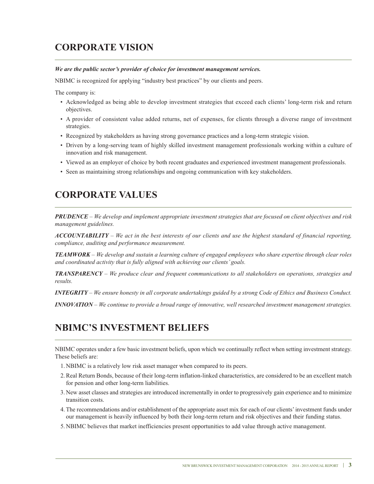## **CORPORATE VISION**

#### *We are the public sector's provider of choice for investment management services.*

NBIMC is recognized for applying "industry best practices" by our clients and peers.

The company is:

- Acknowledged as being able to develop investment strategies that exceed each clients' long-term risk and return objectives.
- A provider of consistent value added returns, net of expenses, for clients through a diverse range of investment strategies.
- Recognized by stakeholders as having strong governance practices and a long-term strategic vision.
- Driven by a long-serving team of highly skilled investment management professionals working within a culture of innovation and risk management.
- Viewed as an employer of choice by both recent graduates and experienced investment management professionals.
- Seen as maintaining strong relationships and ongoing communication with key stakeholders.

## **CORPORATE VALUES**

**PRUDENCE** – We develop and implement appropriate investment strategies that are focused on client objectives and risk *management guidelines.*

 $ACCOUNTABILITY - We act in the best interests of our clients and use the highest standard of financial reporting,$ *compliance, auditing and performance measurement.*

**TEAMWORK** – We develop and sustain a learning culture of engaged employees who share expertise through clear roles *and coordinated activity that is fully aligned with achieving our clients' goals.*

*TRANSPARENCY – We produce clear and frequent communications to all stakeholders on operations, strategies and results.*

**INTEGRITY** – We ensure honesty in all corporate undertakings guided by a strong Code of Ethics and Business Conduct.

 $INNOVATION - We continue to provide a broad range of innovative, well researched investment management strategies.$ 

## **NBIMC'S INVESTMENT BELIEFS**

NBIMC operates under a few basic investment beliefs, upon which we continually reflect when setting investment strategy. These beliefs are:

- 1. NBIMC is a relatively low risk asset manager when compared to its peers.
- 2.Real Return Bonds, because of their long-term inflation-linked characteristics, are considered to be an excellent match for pension and other long-term liabilities.
- 3. New asset classes and strategies are introduced incrementally in order to progressively gain experience and to minimize transition costs.
- 4.The recommendations and/or establishment of the appropriate asset mix for each of our clients'investment funds under our management is heavily influenced by both their long-term return and risk objectives and their funding status.
- 5. NBIMC believes that market inefficiencies present opportunities to add value through active management.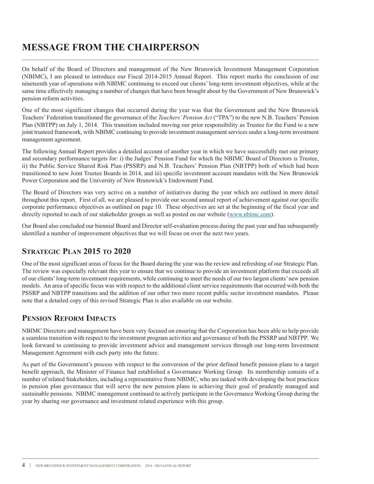## **MESSAGE FROM THE CHAIRPERSON**

On behalf of the Board of Directors and management of the New Brunswick Investment Management Corporation (NBIMC), I am pleased to introduce our Fiscal 2014-2015 Annual Report. This report marks the conclusion of our nineteenth year of operations with NBIMC continuing to exceed our clients'long-term investment objectives, while at the same time effectively managing a number of changes that have been brought about by the Government of New Brunswick's pension reform activities.

One of the most significant changes that occurred during the year was that the Government and the New Brunswick Teachers' Federation transitioned the governance of the *Teachers'Pension Act* ("TPA") to the new N.B. Teachers' Pension Plan (NBTPP) on July 1, 2014. This transition included moving our prior responsibility as Trustee for the Fund to a new joint trusteed framework, with NBIMC continuing to provide investment management services under a long-term investment management agreement.

The following Annual Report provides a detailed account of another year in which we have successfully met our primary and secondary performance targets for: i) the Judges' Pension Fund for which the NBIMC Board of Directors is Trustee, ii) the Public Service Shared Risk Plan (PSSRP) and N.B. Teachers' Pension Plan (NBTPP) both of which had been transitioned to new Joint Trustee Boards in 2014, and iii) specific investment account mandates with the New Brunswick Power Corporation and the University of New Brunswick's Endowment Fund.

The Board of Directors was very active on a number of initiatives during the year which are outlined in more detail throughout this report. First of all, we are pleased to provide our second annual report of achievement against our specific corporate performance objectives as outlined on page 10. These objectives are set at the beginning of the fiscal year and directly reported to each of our stakeholder groups as well as posted on our website (www.nbimc.com).

Our Board also concluded our biennial Board and Director self-evaluation process during the past year and has subsequently identified a number of improvement objectives that we will focus on over the next two years.

## **STRATEGIC PLAN 2015 TO 2020**

One of the most significant areas of focus for the Board during the year was the review and refreshing of our Strategic Plan. The review was especially relevant this year to ensure that we continue to provide an investment platform that exceeds all of our clients'long-term investment requirements, while continuing to meet the needs of our two largest clients' new pension models. An area of specific focus was with respect to the additional client service requirements that occurred with both the PSSRP and NBTPP transitions and the addition of our other two more recent public sector investment mandates. Please note that a detailed copy of this revised Strategic Plan is also available on our website.

## **PENSION REFORM IMPACTS**

NBIMC Directors and management have been very focused on ensuring that the Corporation has been able to help provide a seamless transition with respect to the investment program activities and governance of both the PSSRP and NBTPP. We look forward to continuing to provide investment advice and management services through our long-term Investment Management Agreement with each party into the future.

As part of the Government's process with respect to the conversion of the prior defined benefit pension plans to a target benefit approach, the Minister of Finance had established a Governance Working Group. Its membership consists of a number of related Stakeholders, including a representative from NBIMC, who are tasked with developing the best practices in pension plan governance that will serve the new pension plans in achieving their goal of prudently managed and sustainable pensions. NBIMC management continued to actively participate in the Governance Working Group during the year by sharing our governance and investment related experience with this group.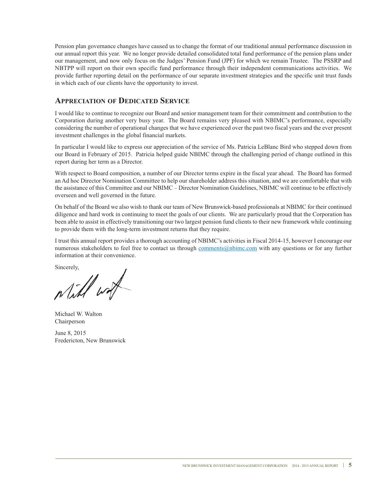Pension plan governance changes have caused us to change the format of our traditional annual performance discussion in our annual report this year. We no longer provide detailed consolidated total fund performance of the pension plans under our management, and now only focus on the Judges' Pension Fund (JPF) for which we remain Trustee. The PSSRP and NBTPP will report on their own specific fund performance through their independent communications activities. We provide further reporting detail on the performance of our separate investment strategies and the specific unit trust funds in which each of our clients have the opportunity to invest.

## **APPRECIATION OF DEDICATED SERVICE**

I would like to continue to recognize our Board and senior management team for their commitment and contribution to the Corporation during another very busy year. The Board remains very pleased with NBIMC's performance, especially considering the number of operational changes that we have experienced over the past two fiscal years and the ever present investment challenges in the global financial markets.

In particular I would like to express our appreciation of the service of Ms. Patricia LeBlanc Bird who stepped down from our Board in February of 2015. Patricia helped guide NBIMC through the challenging period of change outlined in this report during her term as a Director.

With respect to Board composition, a number of our Director terms expire in the fiscal year ahead. The Board has formed an Ad hoc Director Nomination Committee to help our shareholder address this situation, and we are comfortable that with the assistance of this Committee and our NBIMC – Director Nomination Guidelines, NBIMC will continue to be effectively overseen and well governed in the future.

On behalf of the Board we also wish to thank our team of New Brunswick-based professionals at NBIMC for their continued diligence and hard work in continuing to meet the goals of our clients. We are particularly proud that the Corporation has been able to assist in effectively transitioning our two largest pension fund clients to their new framework while continuing to provide them with the long-term investment returns that they require.

I trust this annual report provides a thorough accounting of NBIMC's activities in Fiscal 2014-15, however I encourage our numerous stakeholders to feel free to contact us through comments@nbimc.com with any questions or for any further information at their convenience.

Sincerely,

while wat

Michael W. Walton Chairperson

June 8, 2015 Fredericton, New Brunswick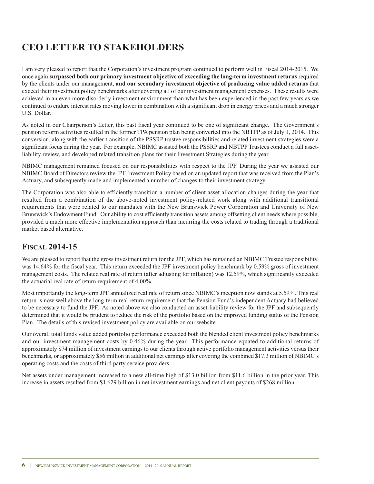## **CEO LETTER TO STAKEHOLDERS**

I am very pleased to report that the Corporation's investment program continued to perform well in Fiscal 2014-2015. We once again **surpassed both our primary investment objective of exceeding the long-term investment returns** required by the clients under our management, **and our secondary investment objective of producing value added returns** that exceed their investment policy benchmarks after covering all of our investment management expenses. These results were achieved in an even more disorderly investment environment than what has been experienced in the past few years as we continued to endure interest rates moving lower in combination with a significant drop in energy prices and a much stronger U.S. Dollar.

As noted in our Chairperson's Letter, this past fiscal year continued to be one of significant change. The Government's pension reform activities resulted in the former TPA pension plan being converted into the NBTPP as of July 1, 2014. This conversion, along with the earlier transition of the PSSRP trustee responsibilities and related investment strategies were a significant focus during the year. For example, NBIMC assisted both the PSSRP and NBTPP Trustees conduct a full assetliability review, and developed related transition plans for their Investment Strategies during the year.

NBIMC management remained focused on our responsibilities with respect to the JPF. During the year we assisted our NBIMC Board of Directors review the JPF Investment Policy based on an updated report that was received from the Plan's Actuary, and subsequently made and implemented a number of changes to their investment strategy.

The Corporation was also able to efficiently transition a number of client asset allocation changes during the year that resulted from a combination of the above-noted investment policy-related work along with additional transitional requirements that were related to our mandates with the New Brunswick Power Corporation and University of New Brunswick's Endowment Fund. Our ability to cost efficiently transition assets among offsetting client needs where possible, provided a much more effective implementation approach than incurring the costs related to trading through a traditional market based alternative.

## **FISCAL 2014-15**

We are pleased to report that the gross investment return for the JPF, which has remained an NBIMC Trustee responsibility, was 14.64% for the fiscal year. This return exceeded the JPF investment policy benchmark by 0.59% gross of investment management costs. The related real rate of return (after adjusting for inflation) was 12.59%, which significantly exceeded the actuarial real rate of return requirement of 4.00%.

Most importantly the long-term JPF annualized real rate of return since NBIMC's inception now stands at 5.59%. This real return is now well above the long-term real return requirement that the Pension Fund's independent Actuary had believed to be necessary to fund the JPF. As noted above we also conducted an asset-liability review for the JPF and subsequently determined that it would be prudent to reduce the risk of the portfolio based on the improved funding status of the Pension Plan. The details of this revised investment policy are available on our website.

Our overall total funds value added portfolio performance exceeded both the blended client investment policy benchmarks and our investment management costs by 0.46% during the year. This performance equated to additional returns of approximately \$74 million of investment earnings to our clients through active portfolio management activities versus their benchmarks, or approximately \$56 million in additional net earnings after covering the combined \$17.3 million of NBIMC's operating costs and the costs of third party service providers.

Net assets under management increased to a new all-time high of \$13.0 billion from \$11.6 billion in the prior year. This increase in assets resulted from \$1.629 billion in net investment earnings and net client payouts of \$268 million.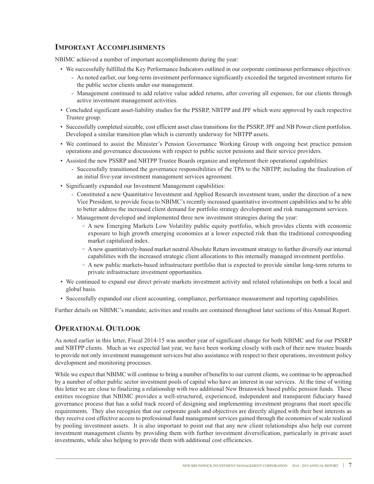## **IMPORTANT ACCOMPLISHMENTS**

NBIMC achieved a number of important accomplishments during the year:

- We successfully fulfilled the Key Performance Indicators outlined in our corporate continuous performance objectives:
	- As noted earlier, our long-term investment performance significantly exceeded the targeted investment returns for the public sector clients under our management.
	- Management continued to add relative value added returns, after covering all expenses, for our clients through active investment management activities.
- Concluded significant asset-liability studies for the PSSRP, NBTPP and JPF which were approved by each respective Trustee group.
- Successfully completed sizeable, cost efficient asset class transitions for the PSSRP, JPF and NB Power client portfolios. Developed a similar transition plan which is currently underway for NBTPP assets.
- We continued to assist the Minister's Pension Governance Working Group with ongoing best practice pension operations and governance discussions with respect to public sector pensions and their service providers.
- Assisted the new PSSRP and NBTPP Trustee Boards organize and implement their operational capabilities:
	- Successfully transitioned the governance responsibilities of the TPA to the NBTPP, including the finalization of an initial five-year investment management services agreement.
- Significantly expanded our Investment Management capabilities:
	- Constituted a new Quantitative Investment and Applied Research investment team, under the direction of a new Vice President, to provide focus to NBIMC's recently increased quantitative investment capabilities and to be able to better address the increased client demand for portfolio strategy development and risk management services.
	- Management developed and implemented three new investment strategies during the year:
		- A new Emerging Markets Low Volatility public equity portfolio, which provides clients with economic exposure to high growth emerging economies at a lower expected risk than the traditional corresponding market capitalized index.
		- A new quantitatively-based market neutral Absolute Return investment strategy to further diversify our internal capabilities with the increased strategic client allocations to this internally managed investment portfolio.
		- A new public markets-based infrastructure portfolio that is expected to provide similar long-term returns to private infrastructure investment opportunities.
- We continued to expand our direct private markets investment activity and related relationships on both a local and global basis.
- Successfully expanded our client accounting, compliance, performance measurement and reporting capabilities.

Further details on NBIMC's mandate, activities and results are contained throughout later sections of this Annual Report.

## **OPERATIONAL OUTLOOK**

As noted earlier in this letter, Fiscal 2014-15 was another year of significant change for both NBIMC and for our PSSRP and NBTPP clients. Much as we expected last year, we have been working closely with each of their new trustee boards to provide not only investment management services but also assistance with respect to their operations, investment policy development and monitoring processes.

While we expect that NBIMC will continue to bring a number of benefits to our current clients, we continue to be approached by a number of other public sector investment pools of capital who have an interest in our services. At the time of writing this letter we are close to finalizing a relationship with two additional New Brunswick based public pension funds. These entities recognize that NBIMC provides a well-structured, experienced, independent and transparent fiduciary based governance process that has a solid track record of designing and implementing investment programs that meet specific requirements. They also recognize that our corporate goals and objectives are directly aligned with their best interests as they receive cost effective access to professional fund management services gained through the economies of scale realized by pooling investment assets. It is also important to point out that any new client relationships also help our current investment management clients by providing them with further investment diversification, particularly in private asset investments, while also helping to provide them with additional cost efficiencies.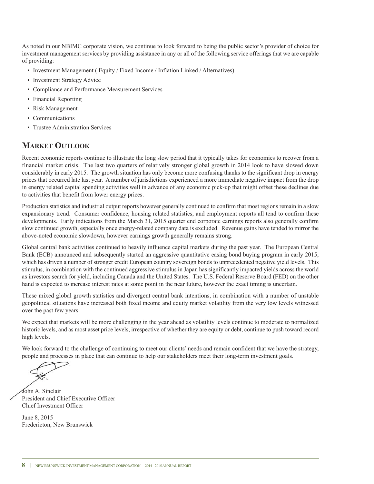As noted in our NBIMC corporate vision, we continue to look forward to being the public sector's provider of choice for investment management services by providing assistance in any or all of the following service offerings that we are capable of providing:

- Investment Management ( Equity / Fixed Income / Inflation Linked / Alternatives)
- Investment Strategy Advice
- Compliance and Performance Measurement Services
- Financial Reporting
- Risk Management
- Communications
- Trustee Administration Services

### **MARKET OUTLOOK**

Recent economic reports continue to illustrate the long slow period that it typically takes for economies to recover from a financial market crisis. The last two quarters of relatively stronger global growth in 2014 look to have slowed down considerably in early 2015. The growth situation has only become more confusing thanks to the significant drop in energy prices that occurred late last year. A number of jurisdictions experienced a more immediate negative impact from the drop in energy related capital spending activities well in advance of any economic pick-up that might offset these declines due to activities that benefit from lower energy prices.

Production statistics and industrial output reports however generally continued to confirm that most regions remain in a slow expansionary trend. Consumer confidence, housing related statistics, and employment reports all tend to confirm these developments. Early indications from the March 31, 2015 quarter end corporate earnings reports also generally confirm slow continued growth, especially once energy-related company data is excluded. Revenue gains have tended to mirror the above-noted economic slowdown, however earnings growth generally remains strong.

Global central bank activities continued to heavily influence capital markets during the past year. The European Central Bank (ECB) announced and subsequently started an aggressive quantitative easing bond buying program in early 2015, which has driven a number of stronger credit European country sovereign bonds to unprecedented negative yield levels. This stimulus, in combination with the continued aggressive stimulus in Japan has significantly impacted yields across the world as investors search for yield, including Canada and the United States. The U.S. Federal Reserve Board (FED) on the other hand is expected to increase interest rates at some point in the near future, however the exact timing is uncertain.

These mixed global growth statistics and divergent central bank intentions, in combination with a number of unstable geopolitical situations have increased both fixed income and equity market volatility from the very low levels witnessed over the past few years.

We expect that markets will be more challenging in the year ahead as volatility levels continue to moderate to normalized historic levels, and as most asset price levels, irrespective of whether they are equity or debt, continue to push toward record high levels.

We look forward to the challenge of continuing to meet our clients' needs and remain confident that we have the strategy, people and processes in place that can continue to help our stakeholders meet their long-term investment goals.

John A. Sinclair President and Chief Executive Officer Chief Investment Officer

June 8, 2015 Fredericton, New Brunswick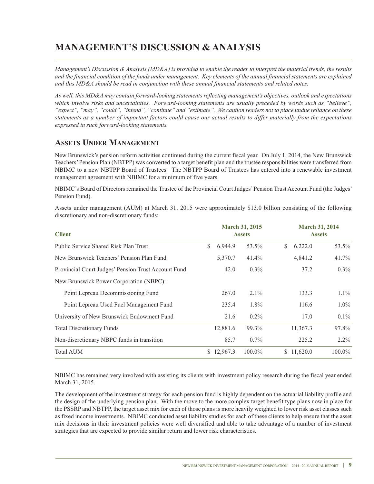## **MANAGEMENT'S DISCUSSION & ANALYSIS**

Management's Discussion & Analysis (MD&A) is provided to enable the reader to interpret the material trends, the results and the financial condition of the funds under management. Key elements of the annual financial statements are explained *and this MD&A should be read in conjunction with these annual financial statements and related notes.*

*As well, this MD&A may contain forward-looking statements reflecting management's objectives, outlook and expectations which involve risks and uncertainties. Forward-looking statements are usually preceded by words such as "believe",* "expect", "may", "could", "intend", "continue" and "estimate". We caution readers not to place undue reliance on these statements as a number of important factors could cause our actual results to differ materially from the expectations *expressed in such forward-looking statements.*

## **ASSETS UNDER MANAGEMENT**

New Brunswick's pension reform activities continued during the current fiscal year. On July 1, 2014, the New Brunswick Teachers'Pension Plan (NBTPP) was converted to a target benefit plan and the trustee responsibilities were transferred from NBIMC to a new NBTPP Board of Trustees. The NBTPP Board of Trustees has entered into a renewable investment management agreement with NBIMC for a minimum of five years.

NBIMC's Board of Directors remained the Trustee of the Provincial Court Judges'Pension Trust Account Fund (the Judges' Pension Fund).

Assets under management (AUM) at March 31, 2015 were approximately \$13.0 billion consisting of the following discretionary and non-discretionary funds:

| <b>Client</b>                                       |                         | <b>March 31, 2015</b><br><b>Assets</b> |                         | <b>March 31, 2014</b><br><b>Assets</b> |  |  |
|-----------------------------------------------------|-------------------------|----------------------------------------|-------------------------|----------------------------------------|--|--|
| Public Service Shared Risk Plan Trust               | <sup>S</sup><br>6,944.9 | 53.5%                                  | $\mathbb{S}$<br>6,222.0 | 53.5%                                  |  |  |
| New Brunswick Teachers' Pension Plan Fund           | 5,370.7                 | 41.4%                                  | 4,841.2                 | 41.7%                                  |  |  |
| Provincial Court Judges' Pension Trust Account Fund | 42.0                    | $0.3\%$                                | 37.2                    | $0.3\%$                                |  |  |
| New Brunswick Power Corporation (NBPC):             |                         |                                        |                         |                                        |  |  |
| Point Lepreau Decommissioning Fund                  | 267.0                   | $2.1\%$                                | 133.3                   | $1.1\%$                                |  |  |
| Point Lepreau Used Fuel Management Fund             | 235.4                   | $1.8\%$                                | 116.6                   | $1.0\%$                                |  |  |
| University of New Brunswick Endowment Fund          | 21.6                    | $0.2\%$                                | 17.0                    | $0.1\%$                                |  |  |
| <b>Total Discretionary Funds</b>                    | 12,881.6                | 99.3%                                  | 11,367.3                | 97.8%                                  |  |  |
| Non-discretionary NBPC funds in transition          | 85.7                    | $0.7\%$                                | 225.2                   | $2.2\%$                                |  |  |
| <b>Total AUM</b>                                    | 12,967.3<br>S.          | $100.0\%$                              | \$11,620.0              | $100.0\%$                              |  |  |

NBIMC has remained very involved with assisting its clients with investment policy research during the fiscal year ended March 31, 2015.

The development of the investment strategy for each pension fund is highly dependent on the actuarial liability profile and the design of the underlying pension plan. With the move to the more complex target benefit type plans now in place for the PSSRP and NBTPP, the target asset mix for each of those plans is more heavily weighted to lower risk asset classes such as fixed income investments. NBIMC conducted asset liability studies for each of these clients to help ensure that the asset mix decisions in their investment policies were well diversified and able to take advantage of a number of investment strategies that are expected to provide similar return and lower risk characteristics.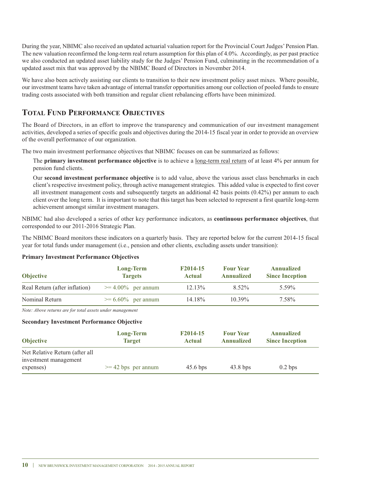During the year, NBIMC also received an updated actuarial valuation report for the Provincial Court Judges' Pension Plan. The new valuation reconfirmed the long-term real return assumption for this plan of 4.0%. Accordingly, as per past practice we also conducted an updated asset liability study for the Judges' Pension Fund, culminating in the recommendation of a updated asset mix that was approved by the NBIMC Board of Directors in November 2014.

We have also been actively assisting our clients to transition to their new investment policy asset mixes. Where possible, our investment teams have taken advantage of internal transfer opportunities among our collection of pooled funds to ensure trading costs associated with both transition and regular client rebalancing efforts have been minimized.

## **TOTAL FUND PERFORMANCE OBJECTIVES**

The Board of Directors, in an effort to improve the transparency and communication of our investment management activities, developed a series of specific goals and objectives during the 2014-15 fiscal year in order to provide an overview of the overall performance of our organization.

The two main investment performance objectives that NBIMC focuses on can be summarized as follows:

The **primary investment performance objective** is to achieve a long-term real return of at least 4% per annum for pension fund clients.

Our **second investment performance objective** is to add value, above the various asset class benchmarks in each client's respective investment policy, through active management strategies. This added value is expected to first cover all investment management costs and subsequently targets an additional 42 basis points (0.42%) per annum to each client over the long term. It is important to note that this target has been selected to represent a first quartile long-term achievement amongst similar investment managers.

NBIMC had also developed a series of other key performance indicators, as **continuous performance objectives**, that corresponded to our 2011-2016 Strategic Plan.

The NBIMC Board monitors these indicators on a quarterly basis. They are reported below for the current 2014-15 fiscal year for total funds under management (i.e., pension and other clients, excluding assets under transition):

#### **Primary Investment Performance Objectives**

| <b>Objective</b>              | Long-Term<br><b>Targets</b> | F <sub>2014-15</sub><br>Actual | <b>Four Year</b><br>Annualized | <b>Annualized</b><br><b>Since Inception</b> |
|-------------------------------|-----------------------------|--------------------------------|--------------------------------|---------------------------------------------|
| Real Return (after inflation) | $\geq 4.00\%$ per annum     | $12.13\%$                      | 8.52%                          | 5.59%                                       |
| Nominal Return                | $>= 6.60\%$ per annum       | $14.18\%$                      | $10.39\%$                      | 7.58%                                       |

*Note: Above returns are for total assets under management*

#### **Secondary Investment Performance Objective**

| <b>Objective</b>                                                     | <b>Long-Term</b>      | F <sub>2014-15</sub> | <b>Four Year</b>  | <b>Annualized</b>      |
|----------------------------------------------------------------------|-----------------------|----------------------|-------------------|------------------------|
|                                                                      | <b>Target</b>         | <b>Actual</b>        | <b>Annualized</b> | <b>Since Inception</b> |
| Net Relative Return (after all<br>investment management<br>expenses) | $>= 42$ bps per annum | $45.6$ bps           | $43.8$ bps        | 0.2 bps                |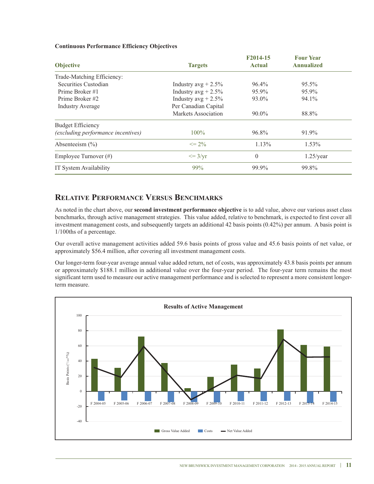| <b>Continuous Performance Efficiency Objectives</b> |  |
|-----------------------------------------------------|--|
|                                                     |  |

|                                    |                        | F2014-15      | <b>Four Year</b>  |
|------------------------------------|------------------------|---------------|-------------------|
| <b>Objective</b><br><b>Targets</b> |                        | <b>Actual</b> | <b>Annualized</b> |
| Trade-Matching Efficiency:         |                        |               |                   |
| Securities Custodian               | Industry $avg + 2.5\%$ | $96.4\%$      | $95.5\%$          |
| Prime Broker #1                    | Industry $avg + 2.5\%$ | 95.9%         | 95.9%             |
| Prime Broker #2                    | Industry $avg + 2.5\%$ | 93.0%         | 94.1%             |
| <b>Industry Average</b>            | Per Canadian Capital   |               |                   |
|                                    | Markets Association    | $90.0\%$      | 88.8%             |
| <b>Budget Efficiency</b>           |                        |               |                   |
| (excluding performance incentives) | $100\%$                | 96.8%         | 91.9%             |
| Absenteeism $(\% )$                | $\leq$ 2%              | $1.13\%$      | $1.53\%$          |
| Employee Turnover (#)              | $\leq$ 3/yr            | $\theta$      | $1.25$ /year      |
| IT System Availability             | 99%                    | 99.9%         | 99.8%             |

## **RELATIVE PERFORMANCE VERSUS BENCHMARKS**

As noted in the chart above, our **second investment performance objective** is to add value, above our various asset class benchmarks, through active management strategies. This value added, relative to benchmark, is expected to first cover all investment management costs, and subsequently targets an additional 42 basis points (0.42%) per annum. A basis point is 1/100ths of a percentage.

Our overall active management activities added 59.6 basis points of gross value and 45.6 basis points of net value, or approximately \$56.4 million, after covering all investment management costs.

Our longer-term four-year average annual value added return, net of costs, was approximately 43.8 basis points per annum or approximately \$188.1 million in additional value over the four-year period. The four-year term remains the most significant term used to measure our active management performance and is selected to represent a more consistent longerterm measure.

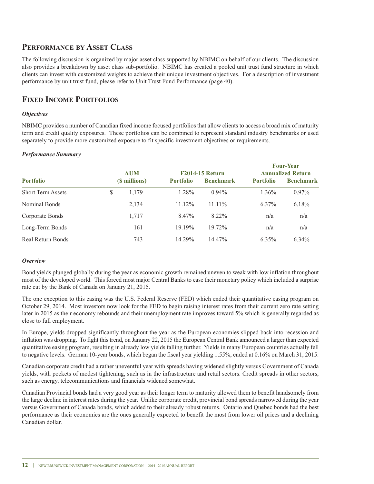## **PERFORMANCE BY ASSET CLASS**

The following discussion is organized by major asset class supported by NBIMC on behalf of our clients. The discussion also provides a breakdown by asset class sub-portfolio. NBIMC has created a pooled unit trust fund structure in which clients can invest with customized weights to achieve their unique investment objectives. For a description of investment performance by unit trust fund, please refer to Unit Trust Fund Performance (page 40).

## **FIXED INCOME PORTFOLIOS**

#### *Objectives*

NBIMC provides a number of Canadian fixed income focused portfolios that allow clients to access a broad mix of maturity term and credit quality exposures. These portfolios can be combined to represent standard industry benchmarks or used separately to provide more customized exposure to fit specific investment objectives or requirements.

### *Performance Summary*

|                                      |       |                  |                          |                  | <b>Four-Year</b> |
|--------------------------------------|-------|------------------|--------------------------|------------------|------------------|
| <b>F2014-15 Return</b><br><b>AUM</b> |       |                  | <b>Annualized Return</b> |                  |                  |
|                                      |       | <b>Portfolio</b> | <b>Benchmark</b>         | <b>Portfolio</b> | <b>Benchmark</b> |
| \$                                   | 1,179 | 1.28%            | $0.94\%$                 | $1.36\%$         | $0.97\%$         |
|                                      | 2,134 | 11.12%           | $11.11\%$                | $6.37\%$         | $6.18\%$         |
|                                      | 1,717 | 8.47%            | 8.22%                    | n/a              | n/a              |
|                                      | 161   | 19.19%           | 19.72%                   | n/a              | n/a              |
|                                      | 743   | 14.29%           | 14.47%                   | $6.35\%$         | $6.34\%$         |
|                                      |       | (\$ millions)    |                          |                  |                  |

#### *Overview*

Bond yields plunged globally during the year as economic growth remained uneven to weak with low inflation throughout most of the developed world. This forced most major Central Banks to ease their monetary policy which included a surprise rate cut by the Bank of Canada on January 21, 2015.

The one exception to this easing was the U.S. Federal Reserve (FED) which ended their quantitative easing program on October 29, 2014. Most investors now look for the FED to begin raising interest rates from their current zero rate setting later in 2015 as their economy rebounds and their unemployment rate improves toward 5% which is generally regarded as close to full employment.

In Europe, yields dropped significantly throughout the year as the European economies slipped back into recession and inflation was dropping. To fight this trend, on January 22, 2015 the European Central Bank announced a larger than expected quantitative easing program, resulting in already low yields falling further. Yields in many European countries actually fell to negative levels. German 10-year bonds, which began the fiscal year yielding 1.55%, ended at 0.16% on March 31, 2015.

Canadian corporate credit had a rather uneventful year with spreads having widened slightly versus Government of Canada yields, with pockets of modest tightening, such as in the infrastructure and retail sectors. Credit spreads in other sectors, such as energy, telecommunications and financials widened somewhat.

Canadian Provincial bonds had a very good year as their longer term to maturity allowed them to benefit handsomely from the large decline in interest rates during the year. Unlike corporate credit, provincial bond spreads narrowed during the year versus Government of Canada bonds, which added to their already robust returns. Ontario and Quebec bonds had the best performance as their economies are the ones generally expected to benefit the most from lower oil prices and a declining Canadian dollar.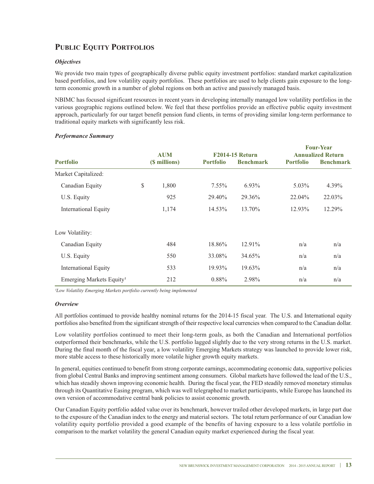## **PUBLIC EQUITY PORTFOLIOS**

#### *Objectives*

We provide two main types of geographically diverse public equity investment portfolios: standard market capitalization based portfolios, and low volatility equity portfolios. These portfolios are used to help clients gain exposure to the longterm economic growth in a number of global regions on both an active and passively managed basis.

NBIMC has focused significant resources in recent years in developing internally managed low volatility portfolios in the various geographic regions outlined below. We feel that these portfolios provide an effective public equity investment approach, particularly for our target benefit pension fund clients, in terms of providing similar long-term performance to traditional equity markets with significantly less risk.

|                                      |      |               |                  |                        |                  | <b>Four-Year</b>         |
|--------------------------------------|------|---------------|------------------|------------------------|------------------|--------------------------|
|                                      |      | <b>AUM</b>    |                  | <b>F2014-15 Return</b> |                  | <b>Annualized Return</b> |
| <b>Portfolio</b>                     |      | (\$ millions) | <b>Portfolio</b> | <b>Benchmark</b>       | <b>Portfolio</b> | <b>Benchmark</b>         |
| Market Capitalized:                  |      |               |                  |                        |                  |                          |
| Canadian Equity                      | $\$$ | 1,800         | $7.55\%$         | $6.93\%$               | $5.03\%$         | 4.39%                    |
| U.S. Equity                          |      | 925           | 29.40%           | 29.36%                 | 22.04%           | 22.03%                   |
| <b>International Equity</b>          |      | 1,174         | 14.53%           | 13.70%                 | 12.93%           | 12.29%                   |
| Low Volatility:                      |      |               |                  |                        |                  |                          |
| Canadian Equity                      |      | 484           | 18.86%           | 12.91%                 | n/a              | n/a                      |
| U.S. Equity                          |      | 550           | 33.08%           | 34.65%                 | n/a              | n/a                      |
| International Equity                 |      | 533           | 19.93%           | 19.63%                 | n/a              | n/a                      |
| Emerging Markets Equity <sup>1</sup> |      | 212           | $0.88\%$         | 2.98%                  | n/a              | n/a                      |

#### *Performance Summary*

*¹Low Volatility Emerging Markets portfolio currently being implemented*

#### *Overview*

All portfolios continued to provide healthy nominal returns for the 2014-15 fiscal year. The U.S. and International equity portfolios also benefited from the significant strength of their respective local currencies when compared to the Canadian dollar.

Low volatility portfolios continued to meet their long-term goals, as both the Canadian and International portfolios outperformed their benchmarks, while the U.S. portfolio lagged slightly due to the very strong returns in the U.S. market. During the final month of the fiscal year, a low volatility Emerging Markets strategy was launched to provide lower risk, more stable access to these historically more volatile higher growth equity markets.

In general, equities continued to benefit from strong corporate earnings, accommodating economic data, supportive policies from global Central Banks and improving sentiment among consumers. Global markets have followed the lead of the U.S., which has steadily shown improving economic health. During the fiscal year, the FED steadily removed monetary stimulus through its Quantitative Easing program, which was well telegraphed to market participants, while Europe has launched its own version of accommodative central bank policies to assist economic growth.

Our Canadian Equity portfolio added value over its benchmark, however trailed other developed markets, in large part due to the exposure of the Canadian index to the energy and material sectors. The total return performance of our Canadian low volatility equity portfolio provided a good example of the benefits of having exposure to a less volatile portfolio in comparison to the market volatility the general Canadian equity market experienced during the fiscal year.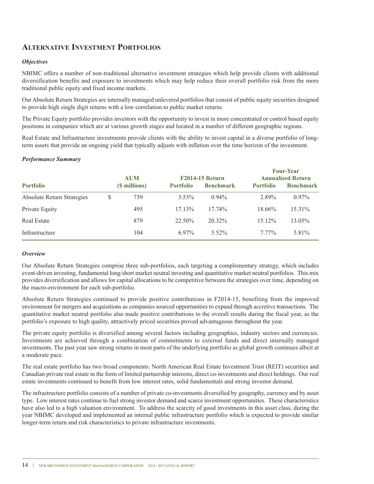## **ALTERNATIVE INVESTMENT PORTFOLIOS**

### *Objectives*

NBIMC offers a number of non-traditional alternative investment strategies which help provide clients with additional diversification benefits and exposure to investments which may help reduce their overall portfolio risk from the more traditional public equity and fixed income markets.

Our Absolute Return Strategies are internally managed unlevered portfolios that consist of public equity securities designed to provide high single digit returns with a low correlation to public market returns.

The Private Equity portfolio provides investors with the opportunity to invest in more concentrated or control based equity positions in companies which are at various growth stages and located in a number of different geographic regions.

Real Estate and Infrastructure investments provide clients with the ability to invest capital in a diverse portfolio of longterm assets that provide an ongoing yield that typically adjusts with inflation over the time horizon of the investment.

### *Performance Summary*

|            |                  |                  |                        | <b>Four-Year</b>         |
|------------|------------------|------------------|------------------------|--------------------------|
| <b>AUM</b> |                  |                  |                        | <b>Annualized Return</b> |
|            | <b>Portfolio</b> | <b>Benchmark</b> | <b>Portfolio</b>       | <b>Benchmark</b>         |
| \$<br>739  | $3.53\%$         | $0.94\%$         | 2.89%                  | $0.97\%$                 |
| 495        | $17.13\%$        | $17.74\%$        | $18.66\%$              | 15.31%                   |
| 879        | 22.50%           | $20.32\%$        | $15.12\%$              | 13.05%                   |
| 104        | $6.97\%$         | $5.52\%$         | $7.77\%$               | 5.81%                    |
|            | (\$ millions)    |                  | <b>F2014-15 Return</b> |                          |

#### *Overview*

Our Absolute Return Strategies comprise three sub-portfolios, each targeting a complementary strategy, which includes event-driven investing, fundamental long/short market neutral investing and quantitative market neutral portfolios. This mix provides diversification and allows for capital allocations to be competitive between the strategies over time, depending on the macro-environment for each sub-portfolio.

Absolute Return Strategies continued to provide positive contributions in F2014-15, benefiting from the improved environment for mergers and acquisitions as companies sourced opportunities to expand through accretive transactions. The quantitative market neutral portfolio also made positive contributions to the overall results during the fiscal year, as the portfolio's exposure to high quality, attractively priced securities proved advantageous throughout the year.

The private equity portfolio is diversified among several factors including geographies, industry sectors and currencies. Investments are achieved through a combination of commitments to external funds and direct internally managed investments. The past year saw strong returns in most parts of the underlying portfolio as global growth continues albeit at a moderate pace.

The real estate portfolio has two broad components: North American Real Estate Investment Trust (REIT) securities and Canadian private real estate in the form of limited partnership interests, direct co-investments and direct holdings. Our real estate investments continued to benefit from low interest rates, solid fundamentals and strong investor demand.

The infrastructure portfolio consists of a number of private co-investments diversified by geography, currency and by asset type. Low interest rates continue to fuel strong investor demand and scarce investment opportunities. These characteristics have also led to a high valuation environment. To address the scarcity of good investments in this asset class, during the year NBIMC developed and implemented an internal public infrastructure portfolio which is expected to provide similar longer-term return and risk characteristics to private infrastructure investments.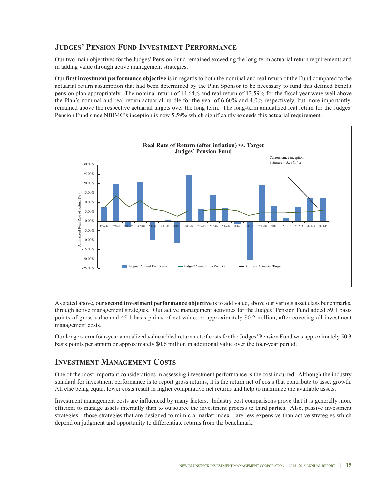## **JUDGES' PENSION FUND INVESTMENT PERFORMANCE**

Our two main objectives for the Judges' Pension Fund remained exceeding the long-term actuarial return requirements and in adding value through active management strategies.

Our **first investment performance objective** is in regards to both the nominal and real return of the Fund compared to the actuarial return assumption that had been determined by the Plan Sponsor to be necessary to fund this defined benefit pension plan appropriately. The nominal return of 14.64% and real return of 12.59% for the fiscal year were well above the Plan's nominal and real return actuarial hurdle for the year of 6.60% and 4.0% respectively, but more importantly, remained above the respective actuarial targets over the long term. The long-term annualized real return for the Judges' Pension Fund since NBIMC's inception is now 5.59% which significantly exceeds this actuarial requirement.



As stated above, our **second investment performance objective** is to add value, above our various asset class benchmarks, through active management strategies. Our active management activities for the Judges' Pension Fund added 59.1 basis points of gross value and 45.1 basis points of net value, or approximately \$0.2 million, after covering all investment management costs.

Our longer-term four-year annualized value added return net of costs for the Judges' Pension Fund was approximately 50.3 basis points per annum or approximately \$0.6 million in additional value over the four-year period.

## **INVESTMENT MANAGEMENT COSTS**

One of the most important considerations in assessing investment performance is the cost incurred. Although the industry standard for investment performance is to report gross returns, it is the return net of costs that contribute to asset growth. All else being equal, lower costs result in higher comparative net returns and help to maximize the available assets.

Investment management costs are influenced by many factors. Industry cost comparisons prove that it is generally more efficient to manage assets internally than to outsource the investment process to third parties. Also, passive investment strategies—those strategies that are designed to mimic a market index—are less expensive than active strategies which depend on judgment and opportunity to differentiate returns from the benchmark.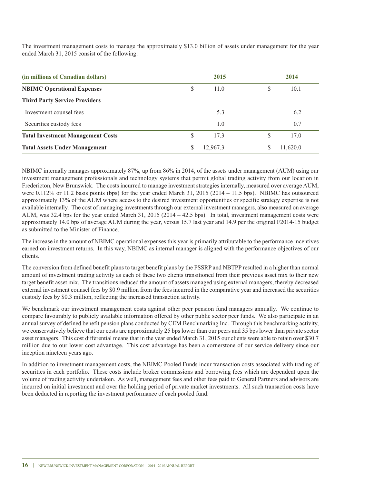The investment management costs to manage the approximately \$13.0 billion of assets under management for the year ended March 31, 2015 consist of the following:

| (in millions of Canadian dollars)        |   | 2015     | 2014          |  |
|------------------------------------------|---|----------|---------------|--|
| <b>NBIMC Operational Expenses</b>        | S | 11.0     | 10.1<br>\$    |  |
| <b>Third Party Service Providers</b>     |   |          |               |  |
| Investment counsel fees                  |   | 5.3      | 6.2           |  |
| Securities custody fees                  |   | 1.0      | 0.7           |  |
| <b>Total Investment Management Costs</b> | S | 17.3     | 17.0<br>S     |  |
| <b>Total Assets Under Management</b>     | S | 12.967.3 | 11,620.0<br>S |  |

NBIMC internally manages approximately 87%, up from 86% in 2014, of the assets under management (AUM) using our investment management professionals and technology systems that permit global trading activity from our location in Fredericton, New Brunswick. The costs incurred to manage investment strategies internally, measured over average AUM, were 0.112% or 11.2 basis points (bps) for the year ended March 31, 2015 (2014 – 11.5 bps). NBIMC has outsourced approximately 13% of the AUM where access to the desired investment opportunities or specific strategy expertise is not available internally. The cost of managing investments through our external investment managers, also measured on average AUM, was 32.4 bps for the year ended March 31, 2015 (2014 – 42.5 bps). In total, investment management costs were approximately 14.0 bps of average AUM during the year, versus 15.7 last year and 14.9 per the original F2014-15 budget as submitted to the Minister of Finance.

The increase in the amount of NBIMC operational expenses this year is primarily attributable to the performance incentives earned on investment returns. In this way, NBIMC as internal manager is aligned with the performance objectives of our clients.

The conversion from defined benefit plans to target benefit plans by the PSSRP and NBTPP resulted in a higher than normal amount of investment trading activity as each of these two clients transitioned from their previous asset mix to their new target benefit asset mix. The transitions reduced the amount of assets managed using external managers, thereby decreased external investment counsel fees by \$0.9 million from the fees incurred in the comparative year and increased the securities custody fees by \$0.3 million, reflecting the increased transaction activity.

We benchmark our investment management costs against other peer pension fund managers annually. We continue to compare favourably to publicly available information offered by other public sector peer funds. We also participate in an annual survey of defined benefit pension plans conducted by CEM Benchmarking Inc. Through this benchmarking activity, we conservatively believe that our costs are approximately 25 bps lower than our peers and 35 bps lower than private sector asset managers. This cost differential means that in the year ended March 31, 2015 our clients were able to retain over \$30.7 million due to our lower cost advantage. This cost advantage has been a cornerstone of our service delivery since our inception nineteen years ago.

In addition to investment management costs, the NBIMC Pooled Funds incur transaction costs associated with trading of securities in each portfolio. These costs include broker commissions and borrowing fees which are dependent upon the volume of trading activity undertaken. As well, management fees and other fees paid to General Partners and advisors are incurred on initial investment and over the holding period of private market investments. All such transaction costs have been deducted in reporting the investment performance of each pooled fund.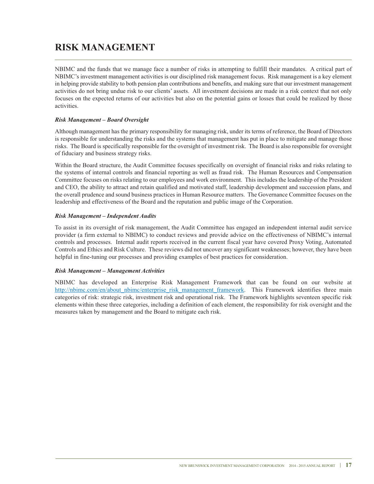## **RISK MANAGEMENT**

NBIMC and the funds that we manage face a number of risks in attempting to fulfill their mandates. A critical part of NBIMC's investment management activities is our disciplined risk management focus. Risk management is a key element in helping provide stability to both pension plan contributions and benefits, and making sure that our investment management activities do not bring undue risk to our clients' assets. All investment decisions are made in a risk context that not only focuses on the expected returns of our activities but also on the potential gains or losses that could be realized by those activities.

#### *Risk Management – Board Oversight*

Although management has the primary responsibility for managing risk, under its terms of reference, the Board of Directors is responsible for understanding the risks and the systems that management has put in place to mitigate and manage those risks. The Board is specifically responsible for the oversight of investment risk. The Board is also responsible for oversight of fiduciary and business strategy risks.

Within the Board structure, the Audit Committee focuses specifically on oversight of financial risks and risks relating to the systems of internal controls and financial reporting as well as fraud risk. The Human Resources and Compensation Committee focuses on risks relating to our employees and work environment. This includes the leadership of the President and CEO, the ability to attract and retain qualified and motivated staff, leadership development and succession plans, and the overall prudence and sound business practices in Human Resource matters. The Governance Committee focuses on the leadership and effectiveness of the Board and the reputation and public image of the Corporation.

#### *Risk Management – Independent Audits*

To assist in its oversight of risk management, the Audit Committee has engaged an independent internal audit service provider (a firm external to NBIMC) to conduct reviews and provide advice on the effectiveness of NBIMC's internal controls and processes. Internal audit reports received in the current fiscal year have covered Proxy Voting, Automated Controls and Ethics and Risk Culture. These reviews did not uncover any significant weaknesses; however, they have been helpful in fine-tuning our processes and providing examples of best practices for consideration.

#### *Risk Management – Management Activities*

NBIMC has developed an Enterprise Risk Management Framework that can be found on our website at http://nbimc.com/en/about\_nbimc/enterprise\_risk\_management\_framework. This Framework identifies three main categories of risk: strategic risk, investment risk and operational risk. The Framework highlights seventeen specific risk elements within these three categories, including a definition of each element, the responsibility for risk oversight and the measures taken by management and the Board to mitigate each risk.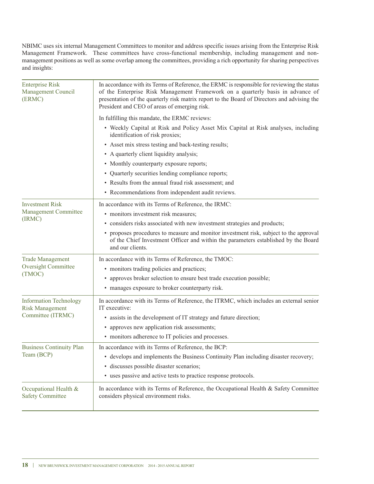NBIMC uses six internal Management Committees to monitor and address specific issues arising from the Enterprise Risk Management Framework. These committees have cross-functional membership, including management and nonmanagement positions as well as some overlap among the committees, providing a rich opportunity for sharing perspectives and insights:

| <b>Enterprise Risk</b><br>Management Council<br>(ERMC)  | In accordance with its Terms of Reference, the ERMC is responsible for reviewing the status<br>of the Enterprise Risk Management Framework on a quarterly basis in advance of<br>presentation of the quarterly risk matrix report to the Board of Directors and advising the<br>President and CEO of areas of emerging risk. |  |  |  |  |
|---------------------------------------------------------|------------------------------------------------------------------------------------------------------------------------------------------------------------------------------------------------------------------------------------------------------------------------------------------------------------------------------|--|--|--|--|
|                                                         | In fulfilling this mandate, the ERMC reviews:                                                                                                                                                                                                                                                                                |  |  |  |  |
|                                                         | • Weekly Capital at Risk and Policy Asset Mix Capital at Risk analyses, including<br>identification of risk proxies;                                                                                                                                                                                                         |  |  |  |  |
|                                                         | • Asset mix stress testing and back-testing results;                                                                                                                                                                                                                                                                         |  |  |  |  |
|                                                         | • A quarterly client liquidity analysis;                                                                                                                                                                                                                                                                                     |  |  |  |  |
|                                                         | • Monthly counterparty exposure reports;                                                                                                                                                                                                                                                                                     |  |  |  |  |
|                                                         | • Quarterly securities lending compliance reports;                                                                                                                                                                                                                                                                           |  |  |  |  |
|                                                         | • Results from the annual fraud risk assessment; and                                                                                                                                                                                                                                                                         |  |  |  |  |
|                                                         | • Recommendations from independent audit reviews.                                                                                                                                                                                                                                                                            |  |  |  |  |
| <b>Investment Risk</b>                                  | In accordance with its Terms of Reference, the IRMC:                                                                                                                                                                                                                                                                         |  |  |  |  |
| Management Committee                                    | • monitors investment risk measures;                                                                                                                                                                                                                                                                                         |  |  |  |  |
| (IRMC)                                                  | • considers risks associated with new investment strategies and products;                                                                                                                                                                                                                                                    |  |  |  |  |
|                                                         | • proposes procedures to measure and monitor investment risk, subject to the approval<br>of the Chief Investment Officer and within the parameters established by the Board<br>and our clients.                                                                                                                              |  |  |  |  |
| <b>Trade Management</b>                                 | In accordance with its Terms of Reference, the TMOC:                                                                                                                                                                                                                                                                         |  |  |  |  |
| <b>Oversight Committee</b>                              | • monitors trading policies and practices;                                                                                                                                                                                                                                                                                   |  |  |  |  |
| (TMOC)                                                  | • approves broker selection to ensure best trade execution possible;                                                                                                                                                                                                                                                         |  |  |  |  |
|                                                         | • manages exposure to broker counterparty risk.                                                                                                                                                                                                                                                                              |  |  |  |  |
| <b>Information Technology</b><br><b>Risk Management</b> | In accordance with its Terms of Reference, the ITRMC, which includes an external senior<br>IT executive:                                                                                                                                                                                                                     |  |  |  |  |
| Committee (ITRMC)                                       | • assists in the development of IT strategy and future direction;                                                                                                                                                                                                                                                            |  |  |  |  |
|                                                         | • approves new application risk assessments;                                                                                                                                                                                                                                                                                 |  |  |  |  |
|                                                         | • monitors adherence to IT policies and processes.                                                                                                                                                                                                                                                                           |  |  |  |  |
| <b>Business Continuity Plan</b>                         | In accordance with its Terms of Reference, the BCP:                                                                                                                                                                                                                                                                          |  |  |  |  |
| Team (BCP)                                              | • develops and implements the Business Continuity Plan including disaster recovery;                                                                                                                                                                                                                                          |  |  |  |  |
|                                                         | · discusses possible disaster scenarios;                                                                                                                                                                                                                                                                                     |  |  |  |  |
|                                                         | • uses passive and active tests to practice response protocols.                                                                                                                                                                                                                                                              |  |  |  |  |
| Occupational Health &<br><b>Safety Committee</b>        | In accordance with its Terms of Reference, the Occupational Health & Safety Committee<br>considers physical environment risks.                                                                                                                                                                                               |  |  |  |  |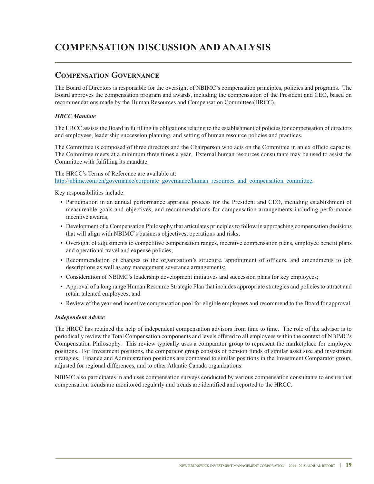## **COMPENSATION DISCUSSION AND ANALYSIS**

## **COMPENSATION GOVERNANCE**

The Board of Directors is responsible for the oversight of NBIMC's compensation principles, policies and programs. The Board approves the compensation program and awards, including the compensation of the President and CEO, based on recommendations made by the Human Resources and Compensation Committee (HRCC).

### *HRCC Mandate*

The HRCC assists the Board in fulfilling its obligations relating to the establishment of policies for compensation of directors and employees, leadership succession planning, and setting of human resource policies and practices.

The Committee is composed of three directors and the Chairperson who acts on the Committee in an ex officio capacity. The Committee meets at a minimum three times a year. External human resources consultants may be used to assist the Committee with fulfilling its mandate.

#### The HRCC's Terms of Reference are available at: http://nbimc.com/en/governance/corporate\_governance/human\_resources\_and\_compensation\_committee.

Key responsibilities include:

- Participation in an annual performance appraisal process for the President and CEO, including establishment of measureable goals and objectives, and recommendations for compensation arrangements including performance incentive awards;
- Development of a Compensation Philosophy that articulates principles to follow in approaching compensation decisions that will align with NBIMC's business objectives, operations and risks;
- Oversight of adjustments to competitive compensation ranges, incentive compensation plans, employee benefit plans and operational travel and expense policies;
- Recommendation of changes to the organization's structure, appointment of officers, and amendments to job descriptions as well as any management severance arrangements;
- Consideration of NBIMC's leadership development initiatives and succession plans for key employees;
- Approval of a long range Human Resource Strategic Plan that includes appropriate strategies and policies to attract and retain talented employees; and
- Review of the year-end incentive compensation pool for eligible employees and recommend to the Board for approval.

#### *Independent Advice*

The HRCC has retained the help of independent compensation advisors from time to time. The role of the advisor is to periodically review the Total Compensation components and levels offered to all employees within the context of NBIMC's Compensation Philosophy. This review typically uses a comparator group to represent the marketplace for employee positions. For Investment positions, the comparator group consists of pension funds of similar asset size and investment strategies. Finance and Administration positions are compared to similar positions in the Investment Comparator group, adjusted for regional differences, and to other Atlantic Canada organizations.

NBIMC also participates in and uses compensation surveys conducted by various compensation consultants to ensure that compensation trends are monitored regularly and trends are identified and reported to the HRCC.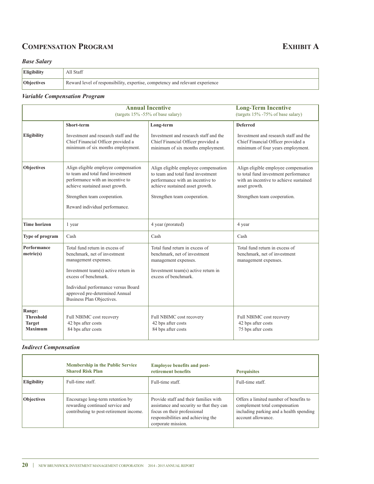## **COMPENSATION PROGRAM EXHIBIT A**

### *Base Salary*

| <b>Eligibility</b> | All Staff                                                                     |
|--------------------|-------------------------------------------------------------------------------|
| <b>Objectives</b>  | Reward level of responsibility, expertise, competency and relevant experience |

### *Variable Compensation Program*

|                                                               |                                                                                                                                                                                                                                                             | <b>Annual Incentive</b><br>(targets $15\%$ -55% of base salary)                                                                                       | <b>Long-Term Incentive</b><br>(targets $15\%$ -75% of base salary)                                                                      |
|---------------------------------------------------------------|-------------------------------------------------------------------------------------------------------------------------------------------------------------------------------------------------------------------------------------------------------------|-------------------------------------------------------------------------------------------------------------------------------------------------------|-----------------------------------------------------------------------------------------------------------------------------------------|
| <b>Eligibility</b>                                            | Short-term<br>Investment and research staff and the<br>Chief Financial Officer provided a                                                                                                                                                                   | Long-term<br>Investment and research staff and the<br>Chief Financial Officer provided a                                                              | <b>Deferred</b><br>Investment and research staff and the<br>Chief Financial Officer provided a                                          |
|                                                               | minimum of six months employment.                                                                                                                                                                                                                           | minimum of six months employment.                                                                                                                     | minimum of four years employment.                                                                                                       |
| Objectives                                                    | Align eligible employee compensation<br>to team and total fund investment<br>performance with an incentive to<br>achieve sustained asset growth.                                                                                                            | Align eligible employee compensation<br>to team and total fund investment<br>performance with an incentive to<br>achieve sustained asset growth.      | Align eligible employee compensation<br>to total fund investment performance<br>with an incentive to achieve sustained<br>asset growth. |
|                                                               | Strengthen team cooperation.<br>Reward individual performance.                                                                                                                                                                                              | Strengthen team cooperation.                                                                                                                          | Strengthen team cooperation.                                                                                                            |
| <b>Time horizon</b>                                           | 1 year                                                                                                                                                                                                                                                      | 4 year (prorated)                                                                                                                                     | 4 year                                                                                                                                  |
| Type of program                                               | Cash                                                                                                                                                                                                                                                        | Cash                                                                                                                                                  | Cash                                                                                                                                    |
| Performance<br>metric(s)                                      | Total fund return in excess of<br>benchmark, net of investment<br>management expenses.<br>Investment team(s) active return in<br>excess of benchmark.<br>Individual performance versus Board<br>approved pre-determined Annual<br>Business Plan Objectives. | Total fund return in excess of<br>benchmark, net of investment<br>management expenses.<br>Investment team(s) active return in<br>excess of benchmark. | Total fund return in excess of<br>benchmark, net of investment<br>management expenses.                                                  |
| Range:<br><b>Threshold</b><br><b>Target</b><br><b>Maximum</b> | Full NBIMC cost recovery<br>42 bps after costs<br>84 bps after costs                                                                                                                                                                                        | Full NBIMC cost recovery<br>42 bps after costs<br>84 bps after costs                                                                                  | Full NBIMC cost recovery<br>42 bps after costs<br>75 bps after costs                                                                    |

### *Indirect Compensation*

F

|                    | <b>Membership in the Public Service</b><br><b>Shared Risk Plan</b>                                             | <b>Employee benefits and post-</b><br>retirement benefits                                                                                                                    | <b>Perquisites</b>                                                                                                                       |
|--------------------|----------------------------------------------------------------------------------------------------------------|------------------------------------------------------------------------------------------------------------------------------------------------------------------------------|------------------------------------------------------------------------------------------------------------------------------------------|
| <b>Eligibility</b> | Full-time staff.                                                                                               | Full-time staff.                                                                                                                                                             | Full-time staff.                                                                                                                         |
| <b>Objectives</b>  | Encourage long-term retention by<br>rewarding continued service and<br>contributing to post-retirement income. | Provide staff and their families with<br>assistance and security so that they can<br>focus on their professional<br>responsibilities and achieving the<br>corporate mission. | Offers a limited number of benefits to<br>complement total compensation<br>including parking and a health spending<br>account allowance. |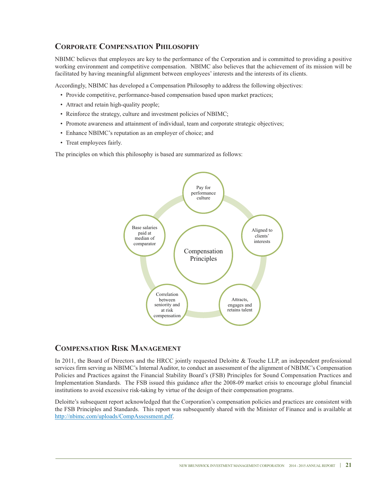## **CORPORATE COMPENSATION PHILOSOPHY**

NBIMC believes that employees are key to the performance of the Corporation and is committed to providing a positive working environment and competitive compensation. NBIMC also believes that the achievement of its mission will be facilitated by having meaningful alignment between employees' interests and the interests of its clients.

Accordingly, NBIMC has developed a Compensation Philosophy to address the following objectives:

- Provide competitive, performance-based compensation based upon market practices;
- Attract and retain high-quality people;
- Reinforce the strategy, culture and investment policies of NBIMC;
- Promote awareness and attainment of individual, team and corporate strategic objectives;
- Enhance NBIMC's reputation as an employer of choice; and
- Treat employees fairly.

The principles on which this philosophy is based are summarized as follows:



### **COMPENSATION RISK MANAGEMENT**

In 2011, the Board of Directors and the HRCC jointly requested Deloitte & Touche LLP, an independent professional services firm serving as NBIMC's Internal Auditor, to conduct an assessment of the alignment of NBIMC's Compensation Policies and Practices against the Financial Stability Board's (FSB) Principles for Sound Compensation Practices and Implementation Standards. The FSB issued this guidance after the 2008-09 market crisis to encourage global financial institutions to avoid excessive risk-taking by virtue of the design of their compensation programs.

Deloitte's subsequent report acknowledged that the Corporation's compensation policies and practices are consistent with the FSB Principles and Standards. This report was subsequently shared with the Minister of Finance and is available at http://nbimc.com/uploads/CompAssessment.pdf.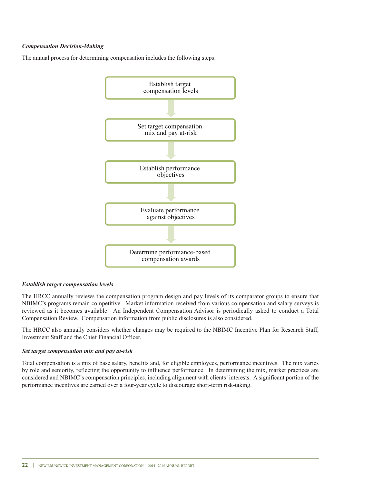#### *Compensation Decision-Making*

The annual process for determining compensation includes the following steps:



#### *Establish target compensation levels*

The HRCC annually reviews the compensation program design and pay levels of its comparator groups to ensure that NBIMC's programs remain competitive. Market information received from various compensation and salary surveys is reviewed as it becomes available. An Independent Compensation Advisor is periodically asked to conduct a Total Compensation Review. Compensation information from public disclosures is also considered.

The HRCC also annually considers whether changes may be required to the NBIMC Incentive Plan for Research Staff, Investment Staff and the Chief Financial Officer.

#### *Set target compensation mix and pay at-risk*

Total compensation is a mix of base salary, benefits and, for eligible employees, performance incentives. The mix varies by role and seniority, reflecting the opportunity to influence performance. In determining the mix, market practices are considered and NBIMC's compensation principles, including alignment with clients'interests. A significant portion of the performance incentives are earned over a four-year cycle to discourage short-term risk-taking.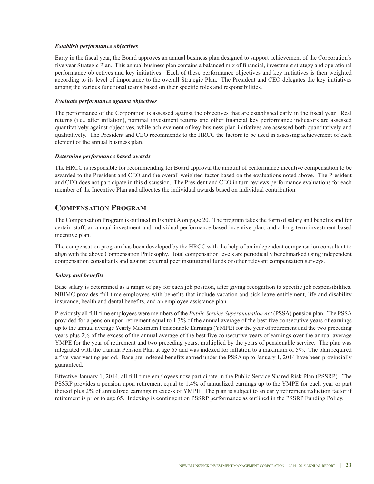#### *Establish performance objectives*

Early in the fiscal year, the Board approves an annual business plan designed to support achievement of the Corporation's five year Strategic Plan. This annual business plan contains a balanced mix of financial, investment strategy and operational performance objectives and key initiatives. Each of these performance objectives and key initiatives is then weighted according to its level of importance to the overall Strategic Plan. The President and CEO delegates the key initiatives among the various functional teams based on their specific roles and responsibilities.

#### *Evaluate performance against objectives*

The performance of the Corporation is assessed against the objectives that are established early in the fiscal year. Real returns (i.e., after inflation), nominal investment returns and other financial key performance indicators are assessed quantitatively against objectives, while achievement of key business plan initiatives are assessed both quantitatively and qualitatively. The President and CEO recommends to the HRCC the factors to be used in assessing achievement of each element of the annual business plan.

#### *Determine performance based awards*

The HRCC is responsible for recommending for Board approval the amount of performance incentive compensation to be awarded to the President and CEO and the overall weighted factor based on the evaluations noted above. The President and CEO does not participate in this discussion. The President and CEO in turn reviews performance evaluations for each member of the Incentive Plan and allocates the individual awards based on individual contribution.

### **COMPENSATION PROGRAM**

The Compensation Program is outlined in Exhibit A on page 20. The program takes the form of salary and benefits and for certain staff, an annual investment and individual performance-based incentive plan, and a long-term investment-based incentive plan.

The compensation program has been developed by the HRCC with the help of an independent compensation consultant to align with the above Compensation Philosophy. Total compensation levels are periodically benchmarked using independent compensation consultants and against external peer institutional funds or other relevant compensation surveys.

#### *Salary and benefits*

Base salary is determined as a range of pay for each job position, after giving recognition to specific job responsibilities. NBIMC provides full-time employees with benefits that include vacation and sick leave entitlement, life and disability insurance, health and dental benefits, and an employee assistance plan.

Previously all full-time employees were members of the *Public Service Superannuation Act* (PSSA) pension plan. The PSSA provided for a pension upon retirement equal to 1.3% of the annual average of the best five consecutive years of earnings up to the annual average Yearly Maximum Pensionable Earnings (YMPE) for the year of retirement and the two preceding years plus 2% of the excess of the annual average of the best five consecutive years of earnings over the annual average YMPE for the year of retirement and two preceding years, multiplied by the years of pensionable service. The plan was integrated with the Canada Pension Plan at age 65 and was indexed for inflation to a maximum of 5%. The plan required a five-year vesting period. Base pre-indexed benefits earned under the PSSA up to January 1, 2014 have been provincially guaranteed.

Effective January 1, 2014, all full-time employees now participate in the Public Service Shared Risk Plan (PSSRP). The PSSRP provides a pension upon retirement equal to 1.4% of annualized earnings up to the YMPE for each year or part thereof plus 2% of annualized earnings in excess of YMPE. The plan is subject to an early retirement reduction factor if retirement is prior to age 65. Indexing is contingent on PSSRP performance as outlined in the PSSRP Funding Policy.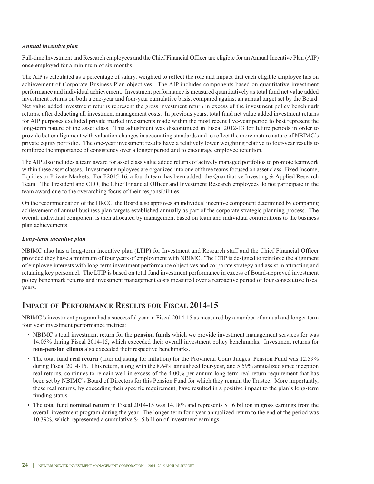#### *Annual incentive plan*

Full-time Investment and Research employees and the Chief Financial Officer are eligible for an Annual Incentive Plan (AIP) once employed for a minimum of six months.

The AIP is calculated as a percentage of salary, weighted to reflect the role and impact that each eligible employee has on achievement of Corporate Business Plan objectives. The AIP includes components based on quantitative investment performance and individual achievement. Investment performance is measured quantitatively as total fund net value added investment returns on both a one-year and four-year cumulative basis, compared against an annual target set by the Board. Net value added investment returns represent the gross investment return in excess of the investment policy benchmark returns, after deducting all investment management costs. In previous years, total fund net value added investment returns for AIP purposes excluded private market investments made within the most recent five-year period to best represent the long-term nature of the asset class. This adjustment was discontinued in Fiscal 2012-13 for future periods in order to provide better alignment with valuation changes in accounting standards and to reflect the more mature nature of NBIMC's private equity portfolio. The one-year investment results have a relatively lower weighting relative to four-year results to reinforce the importance of consistency over a longer period and to encourage employee retention.

The AIP also includes a team award for asset class value added returns of actively managed portfolios to promote teamwork within these asset classes. Investment employees are organized into one of three teams focused on asset class: Fixed Income, Equities or Private Markets. For F2015-16, a fourth team has been added: the Quantitative Investing & Applied Research Team. The President and CEO, the Chief Financial Officer and Investment Research employees do not participate in the team award due to the overarching focus of their responsibilities.

On the recommendation of the HRCC, the Board also approves an individual incentive component determined by comparing achievement of annual business plan targets established annually as part of the corporate strategic planning process. The overall individual component is then allocated by management based on team and individual contributions to the business plan achievements.

#### *Long-term incentive plan*

NBIMC also has a long-term incentive plan (LTIP) for Investment and Research staff and the Chief Financial Officer provided they have a minimum of four years of employment with NBIMC. The LTIP is designed to reinforce the alignment of employee interests with long-term investment performance objectives and corporate strategy and assist in attracting and retaining key personnel. The LTIP is based on total fund investment performance in excess of Board-approved investment policy benchmark returns and investment management costs measured over a retroactive period of four consecutive fiscal years.

## **IMPACT OF PERFORMANCE RESULTS FOR FISCAL 2014-15**

NBIMC's investment program had a successful year in Fiscal 2014-15 as measured by a number of annual and longer term four year investment performance metrics:

- NBIMC's total investment return for the **pension funds** which we provide investment management services for was 14.05% during Fiscal 2014-15, which exceeded their overall investment policy benchmarks. Investment returns for **non-pension clients** also exceeded their respective benchmarks.
- The total fund **real return** (after adjusting for inflation) for the Provincial Court Judges' Pension Fund was 12.59% during Fiscal 2014-15. This return, along with the 8.64% annualized four-year, and 5.59% annualized since inception real returns, continues to remain well in excess of the 4.00% per annum long-term real return requirement that has been set by NBIMC's Board of Directors for this Pension Fund for which they remain the Trustee. More importantly, these real returns, by exceeding their specific requirement, have resulted in a positive impact to the plan's long-term funding status.
- The total fund **nominal return** in Fiscal 2014-15 was 14.18% and represents \$1.6 billion in gross earnings from the overall investment program during the year. The longer-term four-year annualized return to the end of the period was 10.39%, which represented a cumulative \$4.5 billion of investment earnings.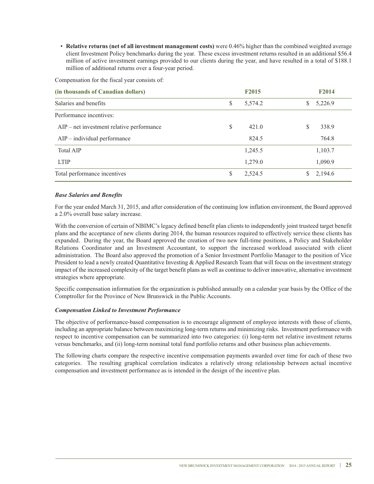• **Relative returns (net of all investment management costs)** were 0.46% higher than the combined weighted average client Investment Policy benchmarks during the year. These excess investment returns resulted in an additional \$56.4 million of active investment earnings provided to our clients during the year, and have resulted in a total of \$188.1 million of additional returns over a four-year period.

Compensation for the fiscal year consists of:

| (in thousands of Canadian dollars)          |    | F <sub>2015</sub> | F <sub>2014</sub> |
|---------------------------------------------|----|-------------------|-------------------|
| Salaries and benefits                       | \$ | 5,574.2           | 5,226.9<br>\$     |
| Performance incentives:                     |    |                   |                   |
| $AIP$ – net investment relative performance | \$ | 421.0             | 338.9<br>\$       |
| $AIP$ – individual performance              |    | 824.5             | 764.8             |
| <b>Total AIP</b>                            |    | 1,245.5           | 1,103.7           |
| <b>LTIP</b>                                 |    | 1,279.0           | 1,090.9           |
| Total performance incentives                |    | 2,524.5           | 2,194.6<br>S      |

#### *Base Salaries and Benefits*

For the year ended March 31, 2015, and after consideration of the continuing low inflation environment, the Board approved a 2.0% overall base salary increase.

With the conversion of certain of NBIMC's legacy defined benefit plan clients to independently joint trusteed target benefit plans and the acceptance of new clients during 2014, the human resources required to effectively service these clients has expanded. During the year, the Board approved the creation of two new full-time positions, a Policy and Stakeholder Relations Coordinator and an Investment Accountant, to support the increased workload associated with client administration. The Board also approved the promotion of a Senior Investment Portfolio Manager to the position of Vice President to lead a newly created Quantitative Investing  $&$  Applied Research Team that will focus on the investment strategy impact of the increased complexity of the target benefit plans as well as continue to deliver innovative, alternative investment strategies where appropriate.

Specific compensation information for the organization is published annually on a calendar year basis by the Office of the Comptroller for the Province of New Brunswick in the Public Accounts.

#### *Compensation Linked to Investment Performance*

The objective of performance-based compensation is to encourage alignment of employee interests with those of clients, including an appropriate balance between maximizing long-term returns and minimizing risks. Investment performance with respect to incentive compensation can be summarized into two categories: (i) long-term net relative investment returns versus benchmarks, and (ii) long-term nominal total fund portfolio returns and other business plan achievements.

The following charts compare the respective incentive compensation payments awarded over time for each of these two categories. The resulting graphical correlation indicates a relatively strong relationship between actual incentive compensation and investment performance as is intended in the design of the incentive plan.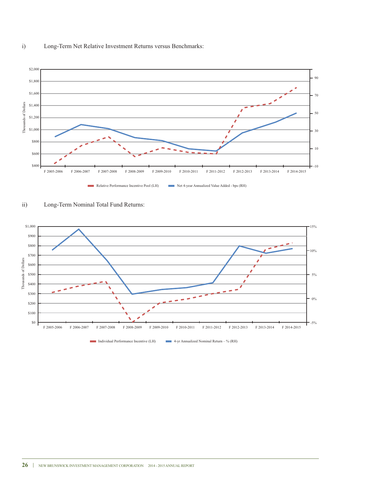



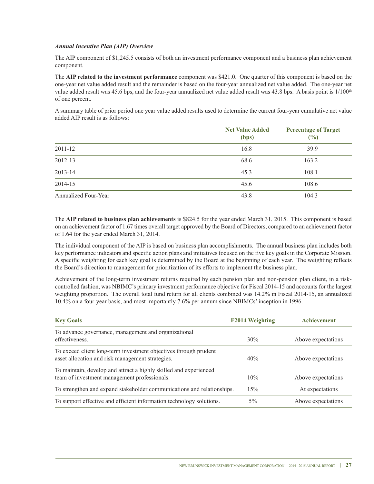#### *Annual Incentive Plan (AIP) Overview*

The AIP component of \$1,245.5 consists of both an investment performance component and a business plan achievement component.

The **AIP related to the investment performance** component was \$421.0. One quarter of this component is based on the one-year net value added result and the remainder is based on the four-year annualized net value added. The one-year net value added result was 45.6 bps, and the four-year annualized net value added result was 43.8 bps. A basis point is  $1/100<sup>th</sup>$ of one percent.

A summary table of prior period one year value added results used to determine the current four-year cumulative net value added AIP result is as follows:

|                      | <b>Net Value Added</b><br>(bps) | <b>Percentage of Target</b><br>(%) |
|----------------------|---------------------------------|------------------------------------|
| 2011-12              | 16.8                            | 39.9                               |
| 2012-13              | 68.6                            | 163.2                              |
| 2013-14              | 45.3                            | 108.1                              |
| 2014-15              | 45.6                            | 108.6                              |
| Annualized Four-Year | 43.8                            | 104.3                              |

The **AIP related to business plan achievements** is \$824.5 for the year ended March 31, 2015. This component is based on an achievement factor of 1.67 times overall target approved by the Board of Directors, compared to an achievement factor of 1.64 for the year ended March 31, 2014.

The individual component of the AIP is based on business plan accomplishments. The annual business plan includes both key performance indicators and specific action plans and initiatives focused on the five key goals in the Corporate Mission. A specific weighting for each key goal is determined by the Board at the beginning of each year. The weighting reflects the Board's direction to management for prioritization of its efforts to implement the business plan.

Achievement of the long-term investment returns required by each pension plan and non-pension plan client, in a riskcontrolled fashion, was NBIMC's primary investment performance objective for Fiscal 2014-15 and accounts for the largest weighting proportion. The overall total fund return for all clients combined was  $14.2\%$  in Fiscal 2014-15, an annualized 10.4% on a four-year basis, and most importantly 7.6% per annum since NBIMCs' inception in 1996.

| <b>Key Goals</b>                                                                                                     | F2014 Weighting | <b>Achievement</b> |
|----------------------------------------------------------------------------------------------------------------------|-----------------|--------------------|
| To advance governance, management and organizational<br>effectiveness.                                               | 30%             | Above expectations |
| To exceed client long-term investment objectives through prudent<br>asset allocation and risk management strategies. | 40%             | Above expectations |
| To maintain, develop and attract a highly skilled and experienced<br>team of investment management professionals.    | 10%             | Above expectations |
| To strengthen and expand stakeholder communications and relationships.                                               | 15%             | At expectations    |
| To support effective and efficient information technology solutions.                                                 | $5\%$           | Above expectations |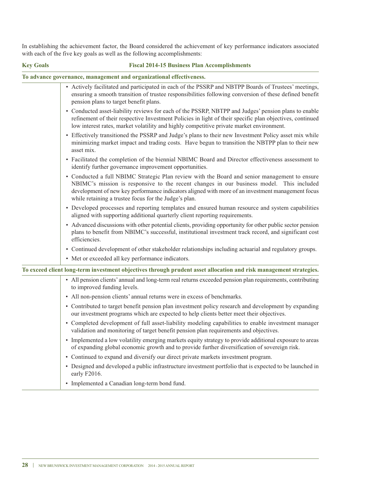In establishing the achievement factor, the Board considered the achievement of key performance indicators associated with each of the five key goals as well as the following accomplishments:

**Key Goals Fiscal 2014-15 Business Plan Accomplishments**

| To advance governance, management and organizational effectiveness.                                                                                                                                                                                                                                                                                     |
|---------------------------------------------------------------------------------------------------------------------------------------------------------------------------------------------------------------------------------------------------------------------------------------------------------------------------------------------------------|
| • Actively facilitated and participated in each of the PSSRP and NBTPP Boards of Trustees' meetings,<br>ensuring a smooth transition of trustee responsibilities following conversion of these defined benefit<br>pension plans to target benefit plans.                                                                                                |
| • Conducted asset-liability reviews for each of the PSSRP, NBTPP and Judges' pension plans to enable<br>refinement of their respective Investment Policies in light of their specific plan objectives, continued<br>low interest rates, market volatility and highly competitive private market environment.                                            |
| • Effectively transitioned the PSSRP and Judge's plans to their new Investment Policy asset mix while<br>minimizing market impact and trading costs. Have begun to transition the NBTPP plan to their new<br>asset mix.                                                                                                                                 |
| • Facilitated the completion of the biennial NBIMC Board and Director effectiveness assessment to<br>identify further governance improvement opportunities.                                                                                                                                                                                             |
| • Conducted a full NBIMC Strategic Plan review with the Board and senior management to ensure<br>NBIMC's mission is responsive to the recent changes in our business model. This included<br>development of new key performance indicators aligned with more of an investment management focus<br>while retaining a trustee focus for the Judge's plan. |
| • Developed processes and reporting templates and ensured human resource and system capabilities<br>aligned with supporting additional quarterly client reporting requirements.                                                                                                                                                                         |
| • Advanced discussions with other potential clients, providing opportunity for other public sector pension<br>plans to benefit from NBIMC's successful, institutional investment track record, and significant cost<br>efficiencies.                                                                                                                    |
| • Continued development of other stakeholder relationships including actuarial and regulatory groups.                                                                                                                                                                                                                                                   |
| • Met or exceeded all key performance indicators.                                                                                                                                                                                                                                                                                                       |
| To exceed client long-term investment objectives through prudent asset allocation and risk management strategies.                                                                                                                                                                                                                                       |
| • All pension clients' annual and long-term real returns exceeded pension plan requirements, contributing<br>to improved funding levels.                                                                                                                                                                                                                |
| • All non-pension clients' annual returns were in excess of benchmarks.                                                                                                                                                                                                                                                                                 |
| • Contributed to target benefit pension plan investment policy research and development by expanding<br>our investment programs which are expected to help clients better meet their objectives.                                                                                                                                                        |
| • Completed development of full asset-liability modeling capabilities to enable investment manager<br>validation and monitoring of target benefit pension plan requirements and objectives.                                                                                                                                                             |
| • Implemented a low volatility emerging markets equity strategy to provide additional exposure to areas<br>of expanding global economic growth and to provide further diversification of sovereign risk.                                                                                                                                                |
| • Continued to expand and diversify our direct private markets investment program.                                                                                                                                                                                                                                                                      |
| • Designed and developed a public infrastructure investment portfolio that is expected to be launched in<br>early F2016.                                                                                                                                                                                                                                |
| • Implemented a Canadian long-term bond fund.                                                                                                                                                                                                                                                                                                           |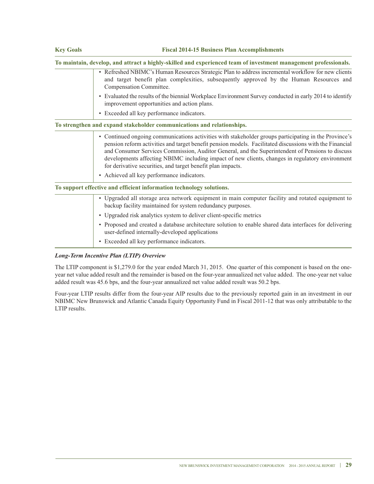| <b>Key Goals</b> | <b>Fiscal 2014-15 Business Plan Accomplishments</b>                                                                                                                                                                                                                                                                                                                                                                                                                                                                                  |
|------------------|--------------------------------------------------------------------------------------------------------------------------------------------------------------------------------------------------------------------------------------------------------------------------------------------------------------------------------------------------------------------------------------------------------------------------------------------------------------------------------------------------------------------------------------|
|                  | To maintain, develop, and attract a highly-skilled and experienced team of investment management professionals.                                                                                                                                                                                                                                                                                                                                                                                                                      |
|                  | • Refreshed NBIMC's Human Resources Strategic Plan to address incremental workflow for new clients<br>and target benefit plan complexities, subsequently approved by the Human Resources and<br>Compensation Committee.                                                                                                                                                                                                                                                                                                              |
|                  | • Evaluated the results of the biennial Workplace Environment Survey conducted in early 2014 to identify<br>improvement opportunities and action plans.                                                                                                                                                                                                                                                                                                                                                                              |
|                  | • Exceeded all key performance indicators.                                                                                                                                                                                                                                                                                                                                                                                                                                                                                           |
|                  | To strengthen and expand stakeholder communications and relationships.                                                                                                                                                                                                                                                                                                                                                                                                                                                               |
|                  | • Continued ongoing communications activities with stakeholder groups participating in the Province's<br>pension reform activities and target benefit pension models. Facilitated discussions with the Financial<br>and Consumer Services Commission, Auditor General, and the Superintendent of Pensions to discuss<br>developments affecting NBIMC including impact of new clients, changes in regulatory environment<br>for derivative securities, and target benefit plan impacts.<br>• Achieved all key performance indicators. |
|                  | To support effective and efficient information technology solutions.                                                                                                                                                                                                                                                                                                                                                                                                                                                                 |
|                  | • Upgraded all storage area network equipment in main computer facility and rotated equipment to<br>backup facility maintained for system redundancy purposes.                                                                                                                                                                                                                                                                                                                                                                       |
|                  | • Upgraded risk analytics system to deliver client-specific metrics                                                                                                                                                                                                                                                                                                                                                                                                                                                                  |
|                  | • Proposed and created a database architecture solution to enable shared data interfaces for delivering<br>user-defined internally-developed applications                                                                                                                                                                                                                                                                                                                                                                            |
|                  | • Exceeded all key performance indicators.                                                                                                                                                                                                                                                                                                                                                                                                                                                                                           |

#### *Long-Term Incentive Plan (LTIP) Overview*

The LTIP component is \$1,279.0 for the year ended March 31, 2015. One quarter of this component is based on the oneyear net value added result and the remainder is based on the four-year annualized net value added. The one-year net value added result was 45.6 bps, and the four-year annualized net value added result was 50.2 bps.

Four-year LTIP results differ from the four-year AIP results due to the previously reported gain in an investment in our NBIMC New Brunswick and Atlantic Canada Equity Opportunity Fund in Fiscal 2011-12 that was only attributable to the LTIP results.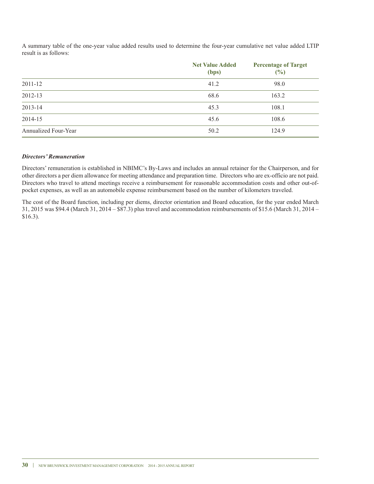A summary table of the one-year value added results used to determine the four-year cumulative net value added LTIP result is as follows:

|                      | <b>Net Value Added</b><br>(bps) | <b>Percentage of Target</b><br>$(\%)$ |
|----------------------|---------------------------------|---------------------------------------|
| 2011-12              | 41.2                            | 98.0                                  |
| 2012-13              | 68.6                            | 163.2                                 |
| 2013-14              | 45.3                            | 108.1                                 |
| 2014-15              | 45.6                            | 108.6                                 |
| Annualized Four-Year | 50.2                            | 124.9                                 |

#### *Directors' Remuneration*

Directors' remuneration is established in NBIMC's By-Laws and includes an annual retainer for the Chairperson, and for other directors a per diem allowance for meeting attendance and preparation time. Directors who are ex-officio are not paid. Directors who travel to attend meetings receive a reimbursement for reasonable accommodation costs and other out-ofpocket expenses, as well as an automobile expense reimbursement based on the number of kilometers traveled.

The cost of the Board function, including per diems, director orientation and Board education, for the year ended March 31, 2015 was \$94.4 (March 31, 2014 – \$87.3) plus travel and accommodation reimbursements of \$15.6 (March 31, 2014 – \$16.3).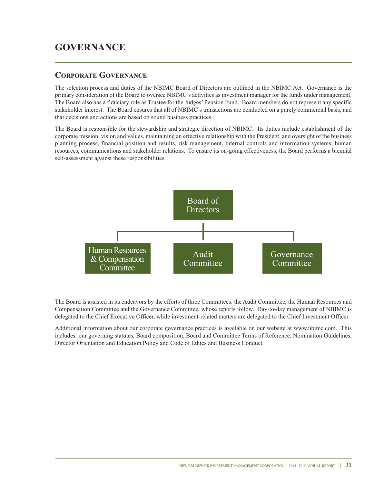## **GOVERNANCE**

## **CORPORATE GOVERNANCE**

The selection process and duties of the NBIMC Board of Directors are outlined in the NBIMC Act. Governance is the primary consideration of the Board to oversee NBIMC's activities as investment manager for the funds under management. The Board also has a fiduciary role as Trustee for the Judges' Pension Fund. Board members do not represent any specific stakeholder interest. The Board ensures that all of NBIMC's transactions are conducted on a purely commercial basis, and that decisions and actions are based on sound business practices.

The Board is responsible for the stewardship and strategic direction of NBIMC. Its duties include establishment of the corporate mission, vision and values, maintaining an effective relationship with the President, and oversight of the business planning process, financial position and results, risk management, internal controls and information systems, human resources, communications and stakeholder relations. To ensure its on-going effectiveness, the Board performs a biennial self-assessment against these responsibilities.



The Board is assisted in its endeavors by the efforts of three Committees: the Audit Committee, the Human Resources and Compensation Committee and the Governance Committee, whose reports follow. Day-to-day management of NBIMC is delegated to the Chief Executive Officer, while investment-related matters are delegated to the Chief Investment Officer.

Additional information about our corporate governance practices is available on our website at www.nbimc.com. This includes: our governing statutes, Board composition, Board and Committee Terms of Reference, Nomination Guidelines, Director Orientation and Education Policy and Code of Ethics and Business Conduct.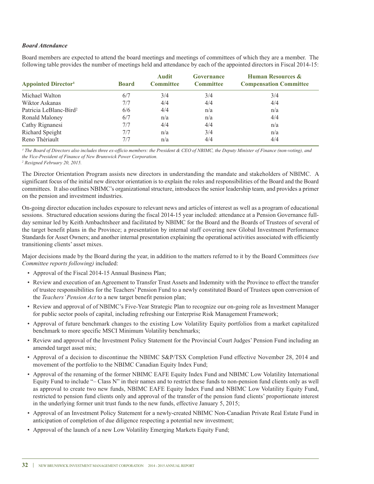#### *Board Attendance*

| <b>Human Resources &amp;</b><br><b>Compensation Committee</b> |
|---------------------------------------------------------------|
| 3/4                                                           |
| 4/4                                                           |
| n/a                                                           |
| 4/4                                                           |
| n/a                                                           |
| n/a                                                           |
| 4/4                                                           |
|                                                               |

Board members are expected to attend the board meetings and meetings of committees of which they are a member. The following table provides the number of meetings held and attendance by each of the appointed directors in Fiscal 2014-15:

<sup>1</sup> The Board of Directors also includes three ex-officio members: the President & CEO of NBIMC, the Deputy Minister of Finance (non-voting), and *the Vice-President of Finance of New Brunswick Power Corporation.*

*<sup>2</sup> Resigned February 20, 2015.*

The Director Orientation Program assists new directors in understanding the mandate and stakeholders of NBIMC. A significant focus of the initial new director orientation is to explain the roles and responsibilities of the Board and the Board committees. It also outlines NBIMC's organizational structure, introduces the senior leadership team, and provides a primer on the pension and investment industries.

On-going director education includes exposure to relevant news and articles of interest as well as a program of educational sessions. Structured education sessions during the fiscal 2014-15 year included: attendance at a Pension Governance fullday seminar led by Keith Ambachtsheer and facilitated by NBIMC for the Board and the Boards of Trustees of several of the target benefit plans in the Province; a presentation by internal staff covering new Global Investment Performance Standards for Asset Owners; and another internal presentation explaining the operational activities associated with efficiently transitioning clients' asset mixes.

Major decisions made by the Board during the year, in addition to the matters referred to it by the Board Committees *(see Committee reports following)* included:

- Approval of the Fiscal 2014-15 Annual Business Plan;
- Review and execution of an Agreement to Transfer Trust Assets and Indemnity with the Province to effect the transfer of trustee responsibilities for the Teachers' Pension Fund to a newly constituted Board of Trustees upon conversion of the *Teachers'Pension Act* to a new target benefit pension plan;
- Review and approval of of NBIMC's Five-Year Strategic Plan to recognize our on-going role as Investment Manager for public sector pools of capital, including refreshing our Enterprise Risk Management Framework;
- Approval of future benchmark changes to the existing Low Volatility Equity portfolios from a market capitalized benchmark to more specific MSCI Minimum Volatility benchmarks;
- Review and approval of the Investment Policy Statement for the Provincial Court Judges' Pension Fund including an amended target asset mix;
- Approval of a decision to discontinue the NBIMC S&P/TSX Completion Fund effective November 28, 2014 and movement of the portfolio to the NBIMC Canadian Equity Index Fund;
- Approval of the renaming of the former NBIMC EAFE Equity Index Fund and NBIMC Low Volatility International Equity Fund to include "– Class N" in their names and to restrict these funds to non-pension fund clients only as well as approval to create two new funds, NBIMC EAFE Equity Index Fund and NBIMC Low Volatility Equity Fund, restricted to pension fund clients only and approval of the transfer of the pension fund clients' proportionate interest in the underlying former unit trust funds to the new funds, effective January 5, 2015;
- Approval of an Investment Policy Statement for a newly-created NBIMC Non-Canadian Private Real Estate Fund in anticipation of completion of due diligence respecting a potential new investment;
- Approval of the launch of a new Low Volatility Emerging Markets Equity Fund;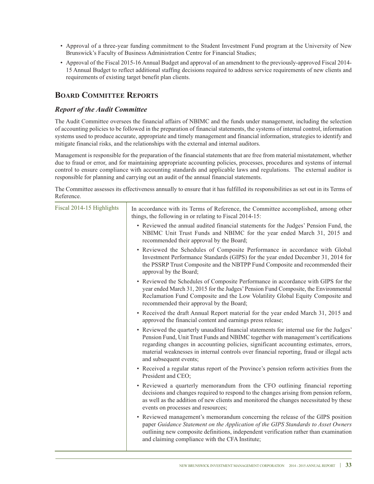- Approval of a three-year funding commitment to the Student Investment Fund program at the University of New Brunswick's Faculty of Business Administration Centre for Financial Studies;
- Approval of the Fiscal 2015-16 Annual Budget and approval of an amendment to the previously-approved Fiscal 2014- 15 Annual Budget to reflect additional staffing decisions required to address service requirements of new clients and requirements of existing target benefit plan clients.

## **BOARD COMMITTEE REPORTS**

### *Report of the Audit Committee*

The Audit Committee oversees the financial affairs of NBIMC and the funds under management, including the selection of accounting policies to be followed in the preparation of financial statements, the systems of internal control, information systems used to produce accurate, appropriate and timely management and financial information, strategies to identify and mitigate financial risks, and the relationships with the external and internal auditors.

Management is responsible for the preparation of the financial statements that are free from material misstatement, whether due to fraud or error, and for maintaining appropriate accounting policies, processes, procedures and systems of internal control to ensure compliance with accounting standards and applicable laws and regulations. The external auditor is responsible for planning and carrying out an audit of the annual financial statements.

The Committee assesses its effectiveness annually to ensure that it has fulfilled its responsibilities as set out in its Terms of Reference.

| Fiscal 2014-15 Highlights | In accordance with its Terms of Reference, the Committee accomplished, among other<br>things, the following in or relating to Fiscal 2014-15:                                                                                                                                                                                                                                               |
|---------------------------|---------------------------------------------------------------------------------------------------------------------------------------------------------------------------------------------------------------------------------------------------------------------------------------------------------------------------------------------------------------------------------------------|
|                           | • Reviewed the annual audited financial statements for the Judges' Pension Fund, the<br>NBIMC Unit Trust Funds and NBIMC for the year ended March 31, 2015 and<br>recommended their approval by the Board;                                                                                                                                                                                  |
|                           | • Reviewed the Schedules of Composite Performance in accordance with Global<br>Investment Performance Standards (GIPS) for the year ended December 31, 2014 for<br>the PSSRP Trust Composite and the NBTPP Fund Composite and recommended their<br>approval by the Board;                                                                                                                   |
|                           | • Reviewed the Schedules of Composite Performance in accordance with GIPS for the<br>year ended March 31, 2015 for the Judges' Pension Fund Composite, the Environmental<br>Reclamation Fund Composite and the Low Volatility Global Equity Composite and<br>recommended their approval by the Board;                                                                                       |
|                           | • Received the draft Annual Report material for the year ended March 31, 2015 and<br>approved the financial content and earnings press release;                                                                                                                                                                                                                                             |
|                           | • Reviewed the quarterly unaudited financial statements for internal use for the Judges'<br>Pension Fund, Unit Trust Funds and NBIMC together with management's certifications<br>regarding changes in accounting policies, significant accounting estimates, errors,<br>material weaknesses in internal controls over financial reporting, fraud or illegal acts<br>and subsequent events; |
|                           | • Received a regular status report of the Province's pension reform activities from the<br>President and CEO;                                                                                                                                                                                                                                                                               |
|                           | • Reviewed a quarterly memorandum from the CFO outlining financial reporting<br>decisions and changes required to respond to the changes arising from pension reform,<br>as well as the addition of new clients and monitored the changes necessitated by these<br>events on processes and resources;                                                                                       |
|                           | • Reviewed management's memorandum concerning the release of the GIPS position<br>paper Guidance Statement on the Application of the GIPS Standards to Asset Owners<br>outlining new composite definitions, independent verification rather than examination<br>and claiming compliance with the CFA Institute;                                                                             |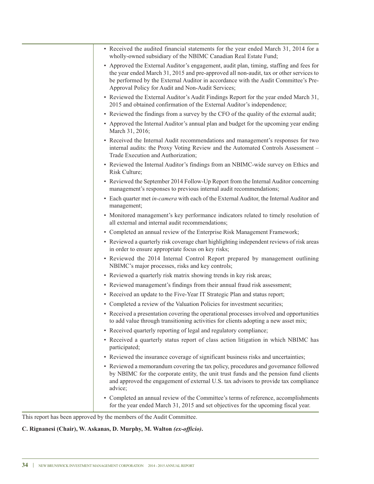| • Received the audited financial statements for the year ended March 31, 2014 for a<br>wholly-owned subsidiary of the NBIMC Canadian Real Estate Fund;                                                                                                                                                                       |
|------------------------------------------------------------------------------------------------------------------------------------------------------------------------------------------------------------------------------------------------------------------------------------------------------------------------------|
| • Approved the External Auditor's engagement, audit plan, timing, staffing and fees for<br>the year ended March 31, 2015 and pre-approved all non-audit, tax or other services to<br>be performed by the External Auditor in accordance with the Audit Committee's Pre-<br>Approval Policy for Audit and Non-Audit Services; |
| • Reviewed the External Auditor's Audit Findings Report for the year ended March 31,<br>2015 and obtained confirmation of the External Auditor's independence;                                                                                                                                                               |
| • Reviewed the findings from a survey by the CFO of the quality of the external audit;                                                                                                                                                                                                                                       |
| • Approved the Internal Auditor's annual plan and budget for the upcoming year ending<br>March 31, 2016;                                                                                                                                                                                                                     |
| • Received the Internal Audit recommendations and management's responses for two<br>internal audits: the Proxy Voting Review and the Automated Controls Assessment -<br>Trade Execution and Authorization;                                                                                                                   |
| • Reviewed the Internal Auditor's findings from an NBIMC-wide survey on Ethics and<br>Risk Culture;                                                                                                                                                                                                                          |
| • Reviewed the September 2014 Follow-Up Report from the Internal Auditor concerning<br>management's responses to previous internal audit recommendations;                                                                                                                                                                    |
| • Each quarter met in-camera with each of the External Auditor, the Internal Auditor and<br>management;                                                                                                                                                                                                                      |
| • Monitored management's key performance indicators related to timely resolution of<br>all external and internal audit recommendations;                                                                                                                                                                                      |
| • Completed an annual review of the Enterprise Risk Management Framework;                                                                                                                                                                                                                                                    |
| • Reviewed a quarterly risk coverage chart highlighting independent reviews of risk areas<br>in order to ensure appropriate focus on key risks;                                                                                                                                                                              |
| • Reviewed the 2014 Internal Control Report prepared by management outlining<br>NBIMC's major processes, risks and key controls;                                                                                                                                                                                             |
| • Reviewed a quarterly risk matrix showing trends in key risk areas;                                                                                                                                                                                                                                                         |
| • Reviewed management's findings from their annual fraud risk assessment;                                                                                                                                                                                                                                                    |
| • Received an update to the Five-Year IT Strategic Plan and status report;                                                                                                                                                                                                                                                   |
| • Completed a review of the Valuation Policies for investment securities;                                                                                                                                                                                                                                                    |
| • Received a presentation covering the operational processes involved and opportunities<br>to add value through transitioning activities for clients adopting a new asset mix;                                                                                                                                               |
| • Received quarterly reporting of legal and regulatory compliance;                                                                                                                                                                                                                                                           |
| • Received a quarterly status report of class action litigation in which NBIMC has<br>participated;                                                                                                                                                                                                                          |
| • Reviewed the insurance coverage of significant business risks and uncertainties;                                                                                                                                                                                                                                           |
| • Reviewed a memorandum covering the tax policy, procedures and governance followed<br>by NBIMC for the corporate entity, the unit trust funds and the pension fund clients<br>and approved the engagement of external U.S. tax advisors to provide tax compliance<br>advice;                                                |
| • Completed an annual review of the Committee's terms of reference, accomplishments<br>for the year ended March 31, 2015 and set objectives for the upcoming fiscal year.                                                                                                                                                    |

This report has been approved by the members of the Audit Committee.

### **C. Rignanesi (Chair), W. Askanas, D. Murphy, M. Walton** *(ex-officio)***.**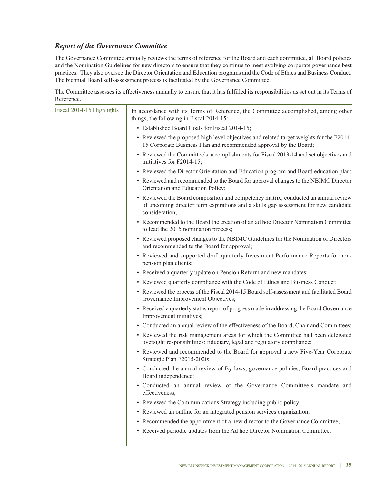### *Report of the Governance Committee*

The Governance Committee annually reviews the terms of reference for the Board and each committee, all Board policies and the Nomination Guidelines for new directors to ensure that they continue to meet evolving corporate governance best practices. They also oversee the Director Orientation and Education programs and the Code of Ethics and Business Conduct. The biennial Board self-assessment process is facilitated by the Governance Committee.

The Committee assesses its effectiveness annually to ensure that it has fulfilled its responsibilities as set out in its Terms of Reference.

| Fiscal 2014-15 Highlights | In accordance with its Terms of Reference, the Committee accomplished, among other<br>things, the following in Fiscal 2014-15:                                                              |
|---------------------------|---------------------------------------------------------------------------------------------------------------------------------------------------------------------------------------------|
|                           | • Established Board Goals for Fiscal 2014-15;                                                                                                                                               |
|                           | • Reviewed the proposed high level objectives and related target weights for the F2014-<br>15 Corporate Business Plan and recommended approval by the Board;                                |
|                           | • Reviewed the Committee's accomplishments for Fiscal 2013-14 and set objectives and<br>initiatives for F2014-15;                                                                           |
|                           | • Reviewed the Director Orientation and Education program and Board education plan;                                                                                                         |
|                           | • Reviewed and recommended to the Board for approval changes to the NBIMC Director<br>Orientation and Education Policy;                                                                     |
|                           | • Reviewed the Board composition and competency matrix, conducted an annual review<br>of upcoming director term expirations and a skills gap assessment for new candidate<br>consideration; |
|                           | • Recommended to the Board the creation of an ad hoc Director Nomination Committee<br>to lead the 2015 nomination process;                                                                  |
|                           | • Reviewed proposed changes to the NBIMC Guidelines for the Nomination of Directors<br>and recommended to the Board for approval;                                                           |
|                           | • Reviewed and supported draft quarterly Investment Performance Reports for non-<br>pension plan clients;                                                                                   |
|                           | • Received a quarterly update on Pension Reform and new mandates;                                                                                                                           |
|                           | • Reviewed quarterly compliance with the Code of Ethics and Business Conduct;                                                                                                               |
|                           | • Reviewed the process of the Fiscal 2014-15 Board self-assessment and facilitated Board<br>Governance Improvement Objectives;                                                              |
|                           | • Received a quarterly status report of progress made in addressing the Board Governance<br>Improvement initiatives;                                                                        |
|                           | • Conducted an annual review of the effectiveness of the Board, Chair and Committees;                                                                                                       |
|                           | • Reviewed the risk management areas for which the Committee had been delegated<br>oversight responsibilities: fiduciary, legal and regulatory compliance;                                  |
|                           | • Reviewed and recommended to the Board for approval a new Five-Year Corporate<br>Strategic Plan F2015-2020;                                                                                |
|                           | • Conducted the annual review of By-laws, governance policies, Board practices and<br>Board independence;                                                                                   |
|                           | • Conducted an annual review of the Governance Committee's mandate and<br>effectiveness;                                                                                                    |
|                           | • Reviewed the Communications Strategy including public policy;                                                                                                                             |
|                           | • Reviewed an outline for an integrated pension services organization;                                                                                                                      |
|                           | • Recommended the appointment of a new director to the Governance Committee;                                                                                                                |
|                           | • Received periodic updates from the Ad hoc Director Nomination Committee;                                                                                                                  |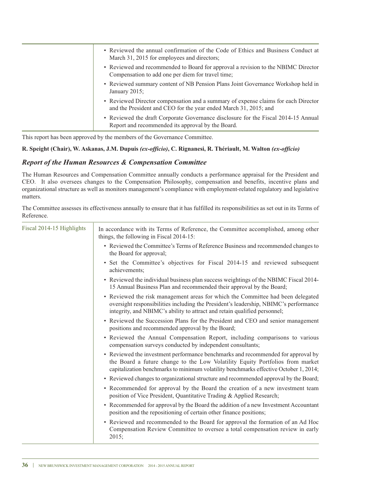| • Reviewed the annual confirmation of the Code of Ethics and Business Conduct at                                                                       |
|--------------------------------------------------------------------------------------------------------------------------------------------------------|
| March 31, 2015 for employees and directors;                                                                                                            |
| • Reviewed and recommended to Board for approval a revision to the NBIMC Director<br>Compensation to add one per diem for travel time;                 |
| • Reviewed summary content of NB Pension Plans Joint Governance Workshop held in<br>January 2015;                                                      |
| • Reviewed Director compensation and a summary of expense claims for each Director<br>and the President and CEO for the year ended March 31, 2015; and |
| • Reviewed the draft Corporate Governance disclosure for the Fiscal 2014-15 Annual<br>Report and recommended its approval by the Board.                |

This report has been approved by the members of the Governance Committee.

### **R. Speight (Chair), W. Askanas, J.M. Dupuis** *(ex-officio)***, C. Rignanesi, R. Thériault, M. Walton** *(ex-officio)*

### *Report of the Human Resources & Compensation Committee*

The Human Resources and Compensation Committee annually conducts a performance appraisal for the President and CEO. It also oversees changes to the Compensation Philosophy, compensation and benefits, incentive plans and organizational structure as well as monitors management's compliance with employment-related regulatory and legislative matters.

The Committee assesses its effectiveness annually to ensure that it has fulfilled its responsibilities as set out in its Terms of Reference.

| Fiscal 2014-15 Highlights | In accordance with its Terms of Reference, the Committee accomplished, among other<br>things, the following in Fiscal 2014-15:                                                                                                                             |
|---------------------------|------------------------------------------------------------------------------------------------------------------------------------------------------------------------------------------------------------------------------------------------------------|
|                           | • Reviewed the Committee's Terms of Reference Business and recommended changes to<br>the Board for approval;                                                                                                                                               |
|                           | • Set the Committee's objectives for Fiscal 2014-15 and reviewed subsequent<br>achievements;                                                                                                                                                               |
|                           | • Reviewed the individual business plan success weightings of the NBIMC Fiscal 2014-<br>15 Annual Business Plan and recommended their approval by the Board;                                                                                               |
|                           | • Reviewed the risk management areas for which the Committee had been delegated<br>oversight responsibilities including the President's leadership, NBIMC's performance<br>integrity, and NBIMC's ability to attract and retain qualified personnel;       |
|                           | • Reviewed the Succession Plans for the President and CEO and senior management<br>positions and recommended approval by the Board;                                                                                                                        |
|                           | • Reviewed the Annual Compensation Report, including comparisons to various<br>compensation surveys conducted by independent consultants;                                                                                                                  |
|                           | • Reviewed the investment performance benchmarks and recommended for approval by<br>the Board a future change to the Low Volatility Equity Portfolios from market<br>capitalization benchmarks to minimum volatility benchmarks effective October 1, 2014; |
|                           | • Reviewed changes to organizational structure and recommended approval by the Board;                                                                                                                                                                      |
|                           | • Recommended for approval by the Board the creation of a new investment team<br>position of Vice President, Quantitative Trading & Applied Research;                                                                                                      |
|                           | • Recommended for approval by the Board the addition of a new Investment Accountant<br>position and the repositioning of certain other finance positions;                                                                                                  |
|                           | • Reviewed and recommended to the Board for approval the formation of an Ad Hoc<br>Compensation Review Committee to oversee a total compensation review in early<br>2015;                                                                                  |
|                           |                                                                                                                                                                                                                                                            |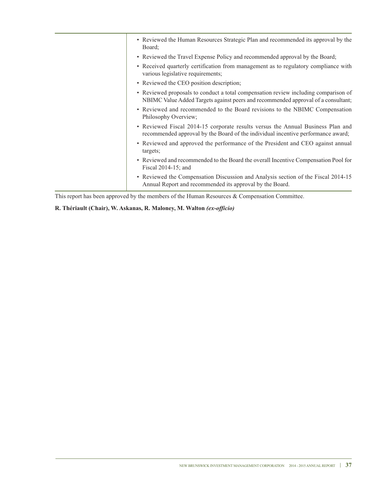| • Reviewed the Human Resources Strategic Plan and recommended its approval by the<br>Board:                                                                              |
|--------------------------------------------------------------------------------------------------------------------------------------------------------------------------|
| • Reviewed the Travel Expense Policy and recommended approval by the Board;                                                                                              |
| • Received quarterly certification from management as to regulatory compliance with<br>various legislative requirements;                                                 |
| • Reviewed the CEO position description;                                                                                                                                 |
| • Reviewed proposals to conduct a total compensation review including comparison of<br>NBIMC Value Added Targets against peers and recommended approval of a consultant; |
| • Reviewed and recommended to the Board revisions to the NBIMC Compensation<br>Philosophy Overview;                                                                      |
| • Reviewed Fiscal 2014-15 corporate results versus the Annual Business Plan and<br>recommended approval by the Board of the individual incentive performance award;      |
| • Reviewed and approved the performance of the President and CEO against annual<br>targets;                                                                              |
| • Reviewed and recommended to the Board the overall Incentive Compensation Pool for<br>Fiscal $2014-15$ ; and                                                            |
| • Reviewed the Compensation Discussion and Analysis section of the Fiscal 2014-15<br>Annual Report and recommended its approval by the Board.                            |

This report has been approved by the members of the Human Resources & Compensation Committee.

**R. Thériault (Chair), W. Askanas, R. Maloney, M. Walton** *(ex-officio)*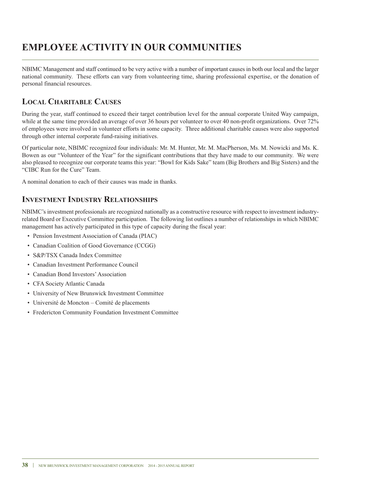## **EMPLOYEE ACTIVITY IN OUR COMMUNITIES**

NBIMC Management and staff continued to be very active with a number of important causes in both our local and the larger national community. These efforts can vary from volunteering time, sharing professional expertise, or the donation of personal financial resources.

## **LOCAL CHARITABLE CAUSES**

During the year, staff continued to exceed their target contribution level for the annual corporate United Way campaign, while at the same time provided an average of over 36 hours per volunteer to over 40 non-profit organizations. Over 72% of employees were involved in volunteer efforts in some capacity. Three additional charitable causes were also supported through other internal corporate fund-raising initiatives.

Of particular note, NBIMC recognized four individuals: Mr. M. Hunter, Mr. M. MacPherson, Ms. M. Nowicki and Ms. K. Bowen as our "Volunteer of the Year" for the significant contributions that they have made to our community. We were also pleased to recognize our corporate teams this year: "Bowl for Kids Sake" team (Big Brothers and Big Sisters) and the "CIBC Run for the Cure" Team.

A nominal donation to each of their causes was made in thanks.

## **INVESTMENT INDUSTRY RELATIONSHIPS**

NBIMC's investment professionals are recognized nationally as a constructive resource with respect to investment industryrelated Board or Executive Committee participation. The following list outlines a number of relationships in which NBIMC management has actively participated in this type of capacity during the fiscal year:

- Pension Investment Association of Canada (PIAC)
- Canadian Coalition of Good Governance (CCGG)
- S&P/TSX Canada Index Committee
- Canadian Investment Performance Council
- Canadian Bond Investors'Association
- CFA Society Atlantic Canada
- University of New Brunswick Investment Committee
- Université de Moncton Comité de placements
- Fredericton Community Foundation Investment Committee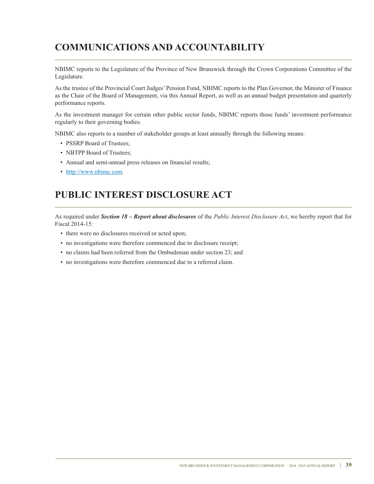## **COMMUNICATIONS AND ACCOUNTABILITY**

NBIMC reports to the Legislature of the Province of New Brunswick through the Crown Corporations Committee of the Legislature.

As the trustee of the Provincial Court Judges' Pension Fund, NBIMC reports to the Plan Governor, the Minister of Finance as the Chair of the Board of Management, via this Annual Report, as well as an annual budget presentation and quarterly performance reports.

As the investment manager for certain other public sector funds, NBIMC reports those funds' investment performance regularly to their governing bodies.

NBIMC also reports to a number of stakeholder groups at least annually through the following means:

- PSSRP Board of Trustees:
- NBTPP Board of Trustees;
- Annual and semi-annual press releases on financial results;
- http://www.nbimc.com.

## **PUBLIC INTEREST DISCLOSURE ACT**

As required under *Section 18 – Report about disclosures* of the *Public Interest Disclosure Act*, we hereby report that for Fiscal 2014-15:

- there were no disclosures received or acted upon;
- no investigations were therefore commenced due to disclosure receipt;
- no claims had been referred from the Ombudsman under section 23; and
- no investigations were therefore commenced due to a referred claim.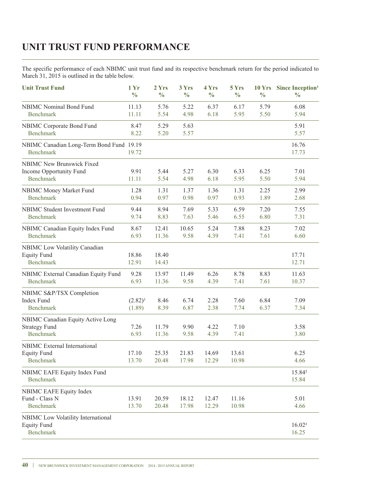## **UNIT TRUST FUND PERFORMANCE**

The specific performance of each NBIMC unit trust fund and its respective benchmark return for the period indicated to March 31, 2015 is outlined in the table below.

| <b>Unit Trust Fund</b>                                                          | 1 Yr<br>$\frac{0}{0}$ | 2 Yrs<br>$\frac{0}{0}$ | 3 Yrs<br>$\frac{0}{0}$ | 4 Yrs<br>$\frac{0}{0}$ | 5 Yrs<br>$\frac{0}{0}$ | $\frac{0}{0}$ | 10 Yrs Since Inception <sup>1</sup><br>$\frac{6}{6}$ |
|---------------------------------------------------------------------------------|-----------------------|------------------------|------------------------|------------------------|------------------------|---------------|------------------------------------------------------|
| <b>NBIMC</b> Nominal Bond Fund<br><b>Benchmark</b>                              | 11.13<br>11.11        | 5.76<br>5.54           | 5.22<br>4.98           | 6.37<br>6.18           | 6.17<br>5.95           | 5.79<br>5.50  | 6.08<br>5.94                                         |
| NBIMC Corporate Bond Fund<br><b>Benchmark</b>                                   | 8.47<br>8.22          | 5.29<br>5.20           | 5.63<br>5.57           |                        |                        |               | 5.91<br>5.57                                         |
| NBIMC Canadian Long-Term Bond Fund 19.19<br><b>Benchmark</b>                    | 19.72                 |                        |                        |                        |                        |               | 16.76<br>17.73                                       |
| <b>NBIMC New Brunswick Fixed</b><br>Income Opportunity Fund<br><b>Benchmark</b> | 9.91<br>11.11         | 5.44<br>5.54           | 5.27<br>4.98           | 6.30<br>6.18           | 6.33<br>5.95           | 6.25<br>5.50  | 7.01<br>5.94                                         |
| NBIMC Money Market Fund<br><b>Benchmark</b>                                     | 1.28<br>0.94          | 1.31<br>0.97           | 1.37<br>0.98           | 1.36<br>0.97           | 1.31<br>0.93           | 2.25<br>1.89  | 2.99<br>2.68                                         |
| <b>NBIMC Student Investment Fund</b><br><b>Benchmark</b>                        | 9.44<br>9.74          | 8.94<br>8.83           | 7.69<br>7.63           | 5.33<br>5.46           | 6.59<br>6.55           | 7.20<br>6.80  | 7.55<br>7.31                                         |
| NBIMC Canadian Equity Index Fund<br><b>Benchmark</b>                            | 8.67<br>6.93          | 12.41<br>11.36         | 10.65<br>9.58          | 5.24<br>4.39           | 7.88<br>7.41           | 8.23<br>7.61  | 7.02<br>6.60                                         |
| NBIMC Low Volatility Canadian<br><b>Equity Fund</b><br><b>Benchmark</b>         | 18.86<br>12.91        | 18.40<br>14.43         |                        |                        |                        |               | 17.71<br>12.71                                       |
| NBIMC External Canadian Equity Fund<br><b>Benchmark</b>                         | 9.28<br>6.93          | 13.97<br>11.36         | 11.49<br>9.58          | 6.26<br>4.39           | 8.78<br>7.41           | 8.83<br>7.61  | 11.63<br>10.37                                       |
| NBIMC S&P/TSX Completion<br>Index Fund<br><b>Benchmark</b>                      | $(2.82)^3$<br>(1.89)  | 8.46<br>8.39           | 6.74<br>6.87           | 2.28<br>2.38           | 7.60<br>7.74           | 6.84<br>6.37  | 7.09<br>7.34                                         |
| NBIMC Canadian Equity Active Long<br><b>Strategy Fund</b><br><b>Benchmark</b>   | 7.26<br>6.93          | 11.79<br>11.36         | 9.90<br>9.58           | 4.22<br>4.39           | 7.10<br>7.41           |               | 3.58<br>3.80                                         |
| <b>NBIMC</b> External International<br><b>Equity Fund</b><br><b>Benchmark</b>   | 17.10<br>13.70        | 25.35<br>20.48         | 21.83<br>17.98         | 14.69<br>12.29         | 13.61<br>10.98         |               | 6.25<br>4.66                                         |
| NBIMC EAFE Equity Index Fund<br><b>Benchmark</b>                                |                       |                        |                        |                        |                        |               | 15.84 <sup>2</sup><br>15.84                          |
| <b>NBIMC EAFE Equity Index</b><br>Fund - Class N<br><b>Benchmark</b>            | 13.91<br>13.70        | 20.59<br>20.48         | 18.12<br>17.98         | 12.47<br>12.29         | 11.16<br>10.98         |               | 5.01<br>4.66                                         |
| NBIMC Low Volatility International<br><b>Equity Fund</b><br><b>Benchmark</b>    |                       |                        |                        |                        |                        |               | 16.02 <sup>2</sup><br>16.25                          |